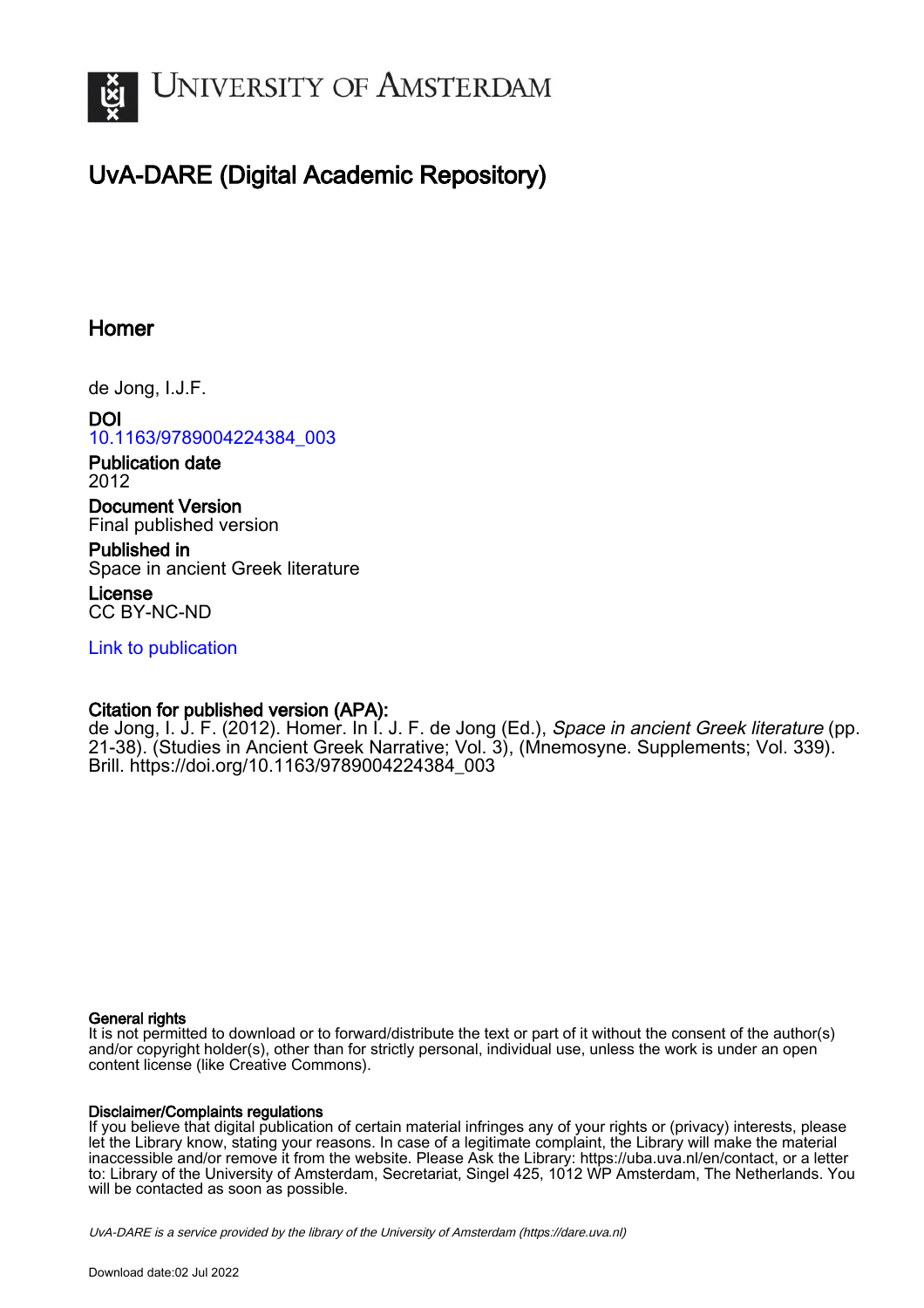

# UvA-DARE (Digital Academic Repository)

# Homer

de Jong, I.J.F.

DOI [10.1163/9789004224384\\_003](https://doi.org/10.1163/9789004224384_003)

Publication date 2012

Document Version Final published version

Published in Space in ancient Greek literature

License CC BY-NC-ND

[Link to publication](https://dare.uva.nl/personal/pure/en/publications/homer(98387ad5-f5fe-4ef9-999f-5a3c272ba536).html)

## Citation for published version (APA):

de Jong, I. J. F. (2012). Homer. In I. J. F. de Jong (Ed.), Space in ancient Greek literature (pp. 21-38). (Studies in Ancient Greek Narrative; Vol. 3), (Mnemosyne. Supplements; Vol. 339). Brill. [https://doi.org/10.1163/9789004224384\\_003](https://doi.org/10.1163/9789004224384_003)

### General rights

It is not permitted to download or to forward/distribute the text or part of it without the consent of the author(s) and/or copyright holder(s), other than for strictly personal, individual use, unless the work is under an open content license (like Creative Commons).

### Disclaimer/Complaints regulations

If you believe that digital publication of certain material infringes any of your rights or (privacy) interests, please let the Library know, stating your reasons. In case of a legitimate complaint, the Library will make the material inaccessible and/or remove it from the website. Please Ask the Library: https://uba.uva.nl/en/contact, or a letter to: Library of the University of Amsterdam, Secretariat, Singel 425, 1012 WP Amsterdam, The Netherlands. You will be contacted as soon as possible.

UvA-DARE is a service provided by the library of the University of Amsterdam (http*s*://dare.uva.nl)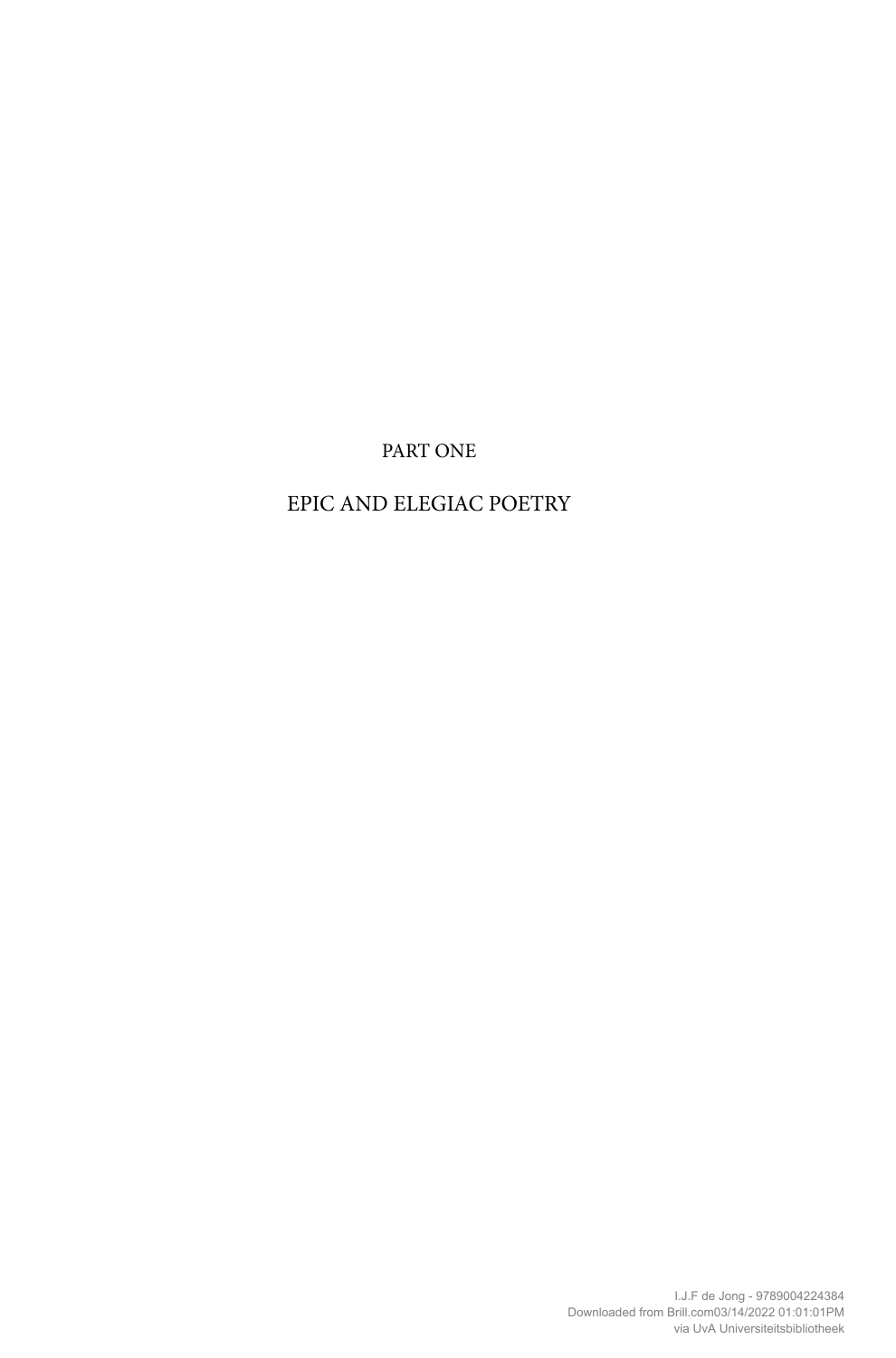# PART ONE

# EPIC AND ELEGIAC POETRY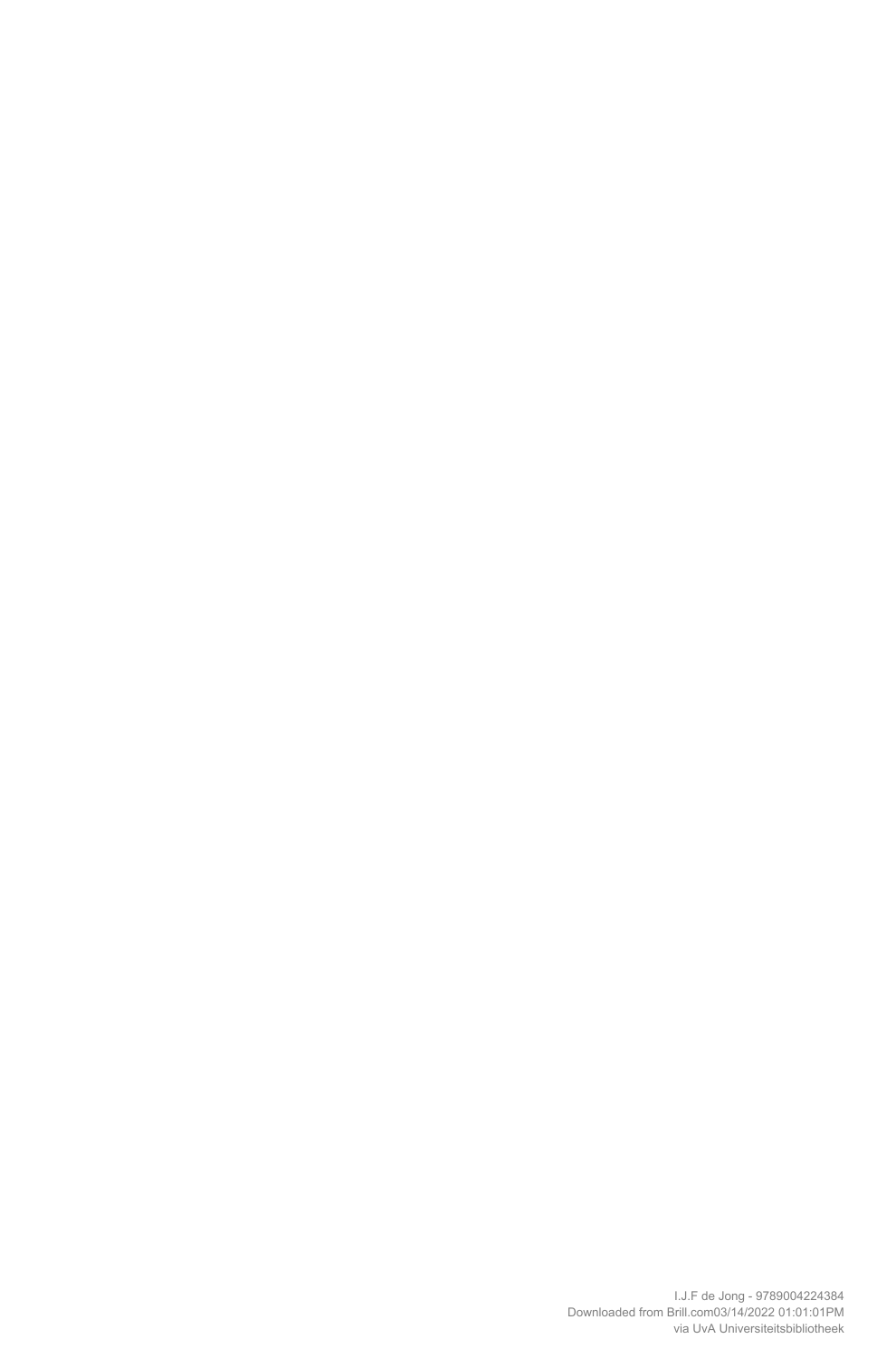I.J.F de Jong - 9789004224384 Downloaded from Brill.com03/14/2022 01:01:01PM via UvA Universiteitsbibliotheek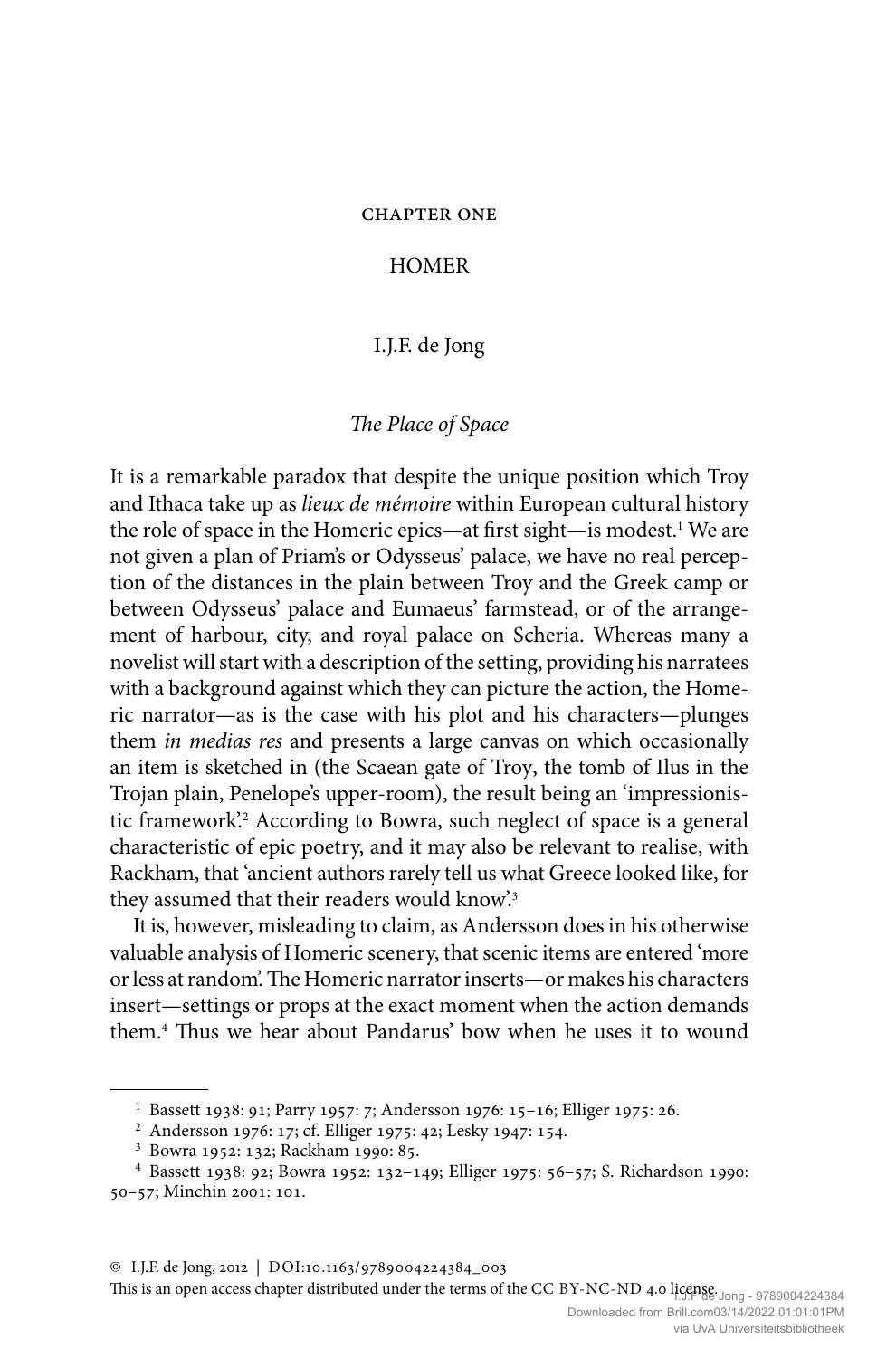#### chapter one

### HOMER

### I.J.F. de Jong

#### *e Place of Space*

It is a remarkable paradox that despite the unique position which Troy and Ithaca take up as *lieux de mémoire* within European cultural history the role of space in the Homeric epics—at first sight—is modest.<sup>1</sup> We are not given a plan of Priam's or Odysseus' palace, we have no real perception of the distances in the plain between Troy and the Greek camp or between Odysseus' palace and Eumaeus' farmstead, or of the arrangement of harbour, city, and royal palace on Scheria. Whereas many a novelist will start with a description of the setting, providing his narratees with a background against which they can picture the action, the Homeric narrator—as is the case with his plot and his characters—plunges them *in medias res* and presents a large canvas on which occasionally an item is sketched in (the Scaean gate of Troy, the tomb of Ilus in the Trojan plain, Penelope's upper-room), the result being an 'impressionistic framework<sup>2</sup>. According to Bowra, such neglect of space is a general characteristic of epic poetry, and it may also be relevant to realise, with Rackham, that 'ancient authors rarely tell us what Greece looked like, for they assumed that their readers would know'.<sup>3</sup>

It is, however, misleading to claim, as Andersson does in his otherwise valuable analysis of Homeric scenery, that scenic items are entered 'more or less at random'. The Homeric narrator inserts—or makes his characters insert—settings or props at the exact moment when the action demands them.<sup>4</sup> Thus we hear about Pandarus' bow when he uses it to wound

© I.J.F. de Jong, 2012 | DOI:10.1163/9789004224384\_003

This is an open access chapter distributed under the terms of the CC BY-NC-ND 4.0 license. <sub>Jong -</sub> 9789004224384

 $1$  Bassett 1938: 91; Parry 1957: 7; Andersson 1976: 15-16; Elliger 1975: 26.

<sup>&</sup>lt;sup>2</sup> Andersson 1976: 17; cf. Elliger 1975: 42; Lesky 1947: 154.

<sup>&</sup>lt;sup>3</sup> Bowra 1952: 132; Rackham 1990: 85.

<sup>&</sup>lt;sup>4</sup> Bassett 1938: 92; Bowra 1952: 132-149; Elliger 1975: 56-57; S. Richardson 1990: 50-57; Minchin 2001: 101.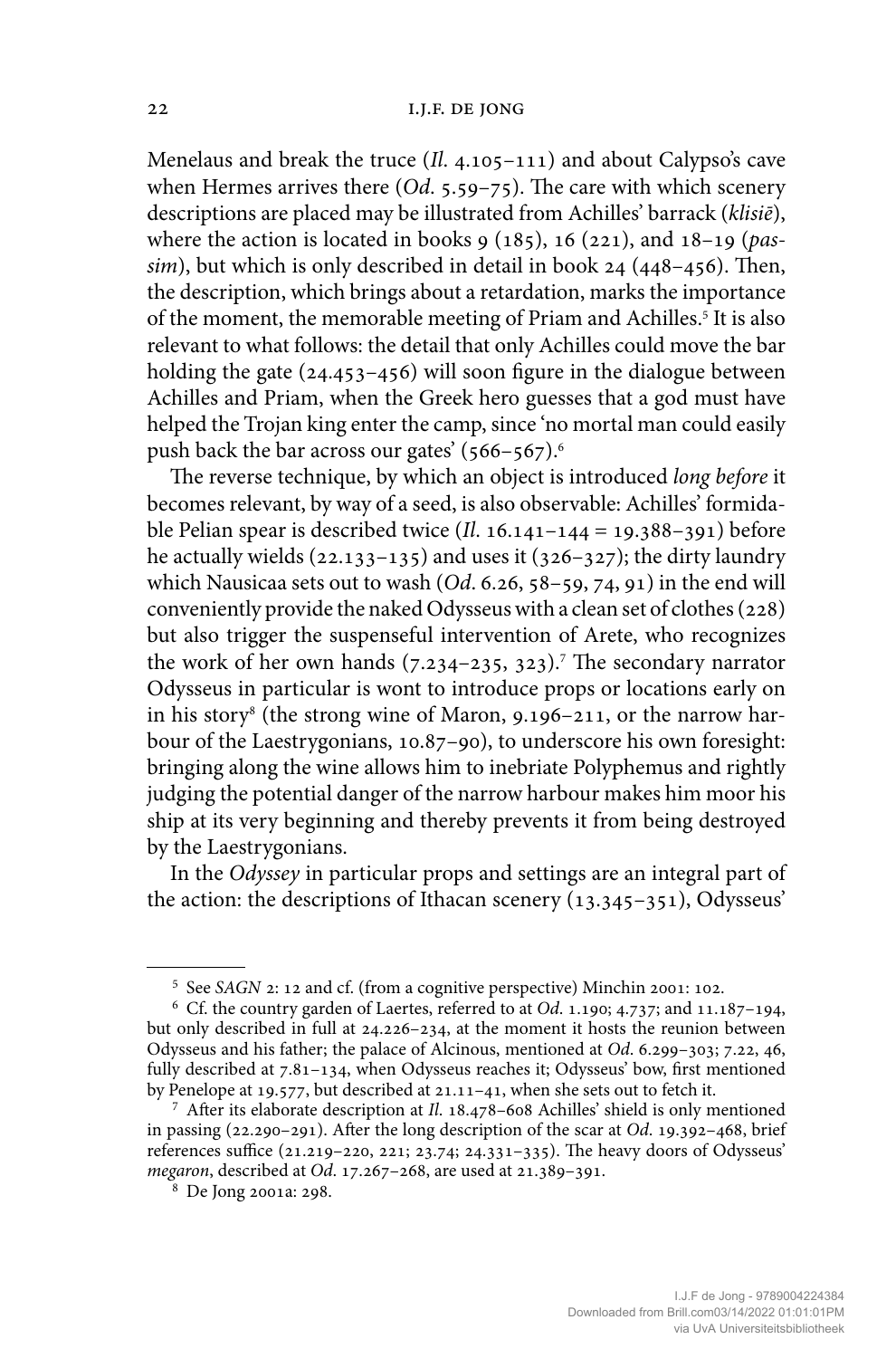Menelaus and break the truce  $(II. 4.105-111)$  and about Calypso's cave when Hermes arrives there (Od.  $5.59-75$ ). The care with which scenery descriptions are placed may be illustrated from Achilles' barrack (klisi $\vec{e}$ ), where the action is located in books  $9(185)$ , 16 $(221)$ , and  $18-19$  (passim), but which is only described in detail in book  $24$  ( $448-456$ ). Then, the description, which brings about a retardation, marks the importance of the moment, the memorable meeting of Priam and Achilles.<sup>5</sup> It is also relevant to what follows: the detail that only Achilles could move the bar holding the gate  $(24.453 - 456)$  will soon figure in the dialogue between Achilles and Priam, when the Greek hero guesses that a god must have helped the Trojan king enter the camp, since 'no mortal man could easily push back the bar across our gates'  $(566-567).$ <sup>6</sup>

The reverse technique, by which an object is introduced long before it becomes relevant, by way of a seed, is also observable: Achilles' formidable Pelian spear is described twice  $(Il. 16.141 - 144 = 19.388 - 391)$  before he actually wields (22.133-135) and uses it (326-327); the dirty laundry which Nausicaa sets out to wash  $(Od. 6.26, 58-59, 74, 91)$  in the end will conveniently provide the naked Odysseus with a clean set of clothes  $(228)$ but also trigger the suspenseful intervention of Arete, who recognizes the work of her own hands  $(7.234-235, 323)$ .<sup>7</sup> The secondary narrator Odysseus in particular is wont to introduce props or locations early on in his story<sup>8</sup> (the strong wine of Maron, 9.196–211, or the narrow harbour of the Laestrygonians, 10.87-90), to underscore his own foresight: bringing along the wine allows him to inebriate Polyphemus and rightly judging the potential danger of the narrow harbour makes him moor his ship at its very beginning and thereby prevents it from being destroyed by the Laestrygonians.

In the Odyssey in particular props and settings are an integral part of the action: the descriptions of Ithacan scenery  $(13.345-351)$ , Odysseus'

 $5$  See SAGN 2: 12 and cf. (from a cognitive perspective) Minchin 2001: 102.

 $6$  Cf. the country garden of Laertes, referred to at Od. 1.190; 4.737; and 11.187-194, but only described in full at  $24.226 - 234$ , at the moment it hosts the reunion between Odysseus and his father; the palace of Alcinous, mentioned at Od.  $6.299 - 303$ ; 7.22, 46, fully described at  $7.81-134$ , when Odysseus reaches it; Odysseus' bow, first mentioned by Penelope at 19.577, but described at  $21.11-41$ , when she sets out to fetch it.

<sup>&</sup>lt;sup>7</sup> After its elaborate description at *Il.*  $18.478 - 608$  Achilles' shield is only mentioned in passing (22.290-291). After the long description of the scar at Od. 19.392-468, brief references suffice (21.219-220, 221; 23.74; 24.331-335). The heavy doors of Odysseus' megaron, described at  $Od. 17.267 - 268$ , are used at  $21.389 - 391$ .

<sup>&</sup>lt;sup>8</sup> De Jong 2001a: 298.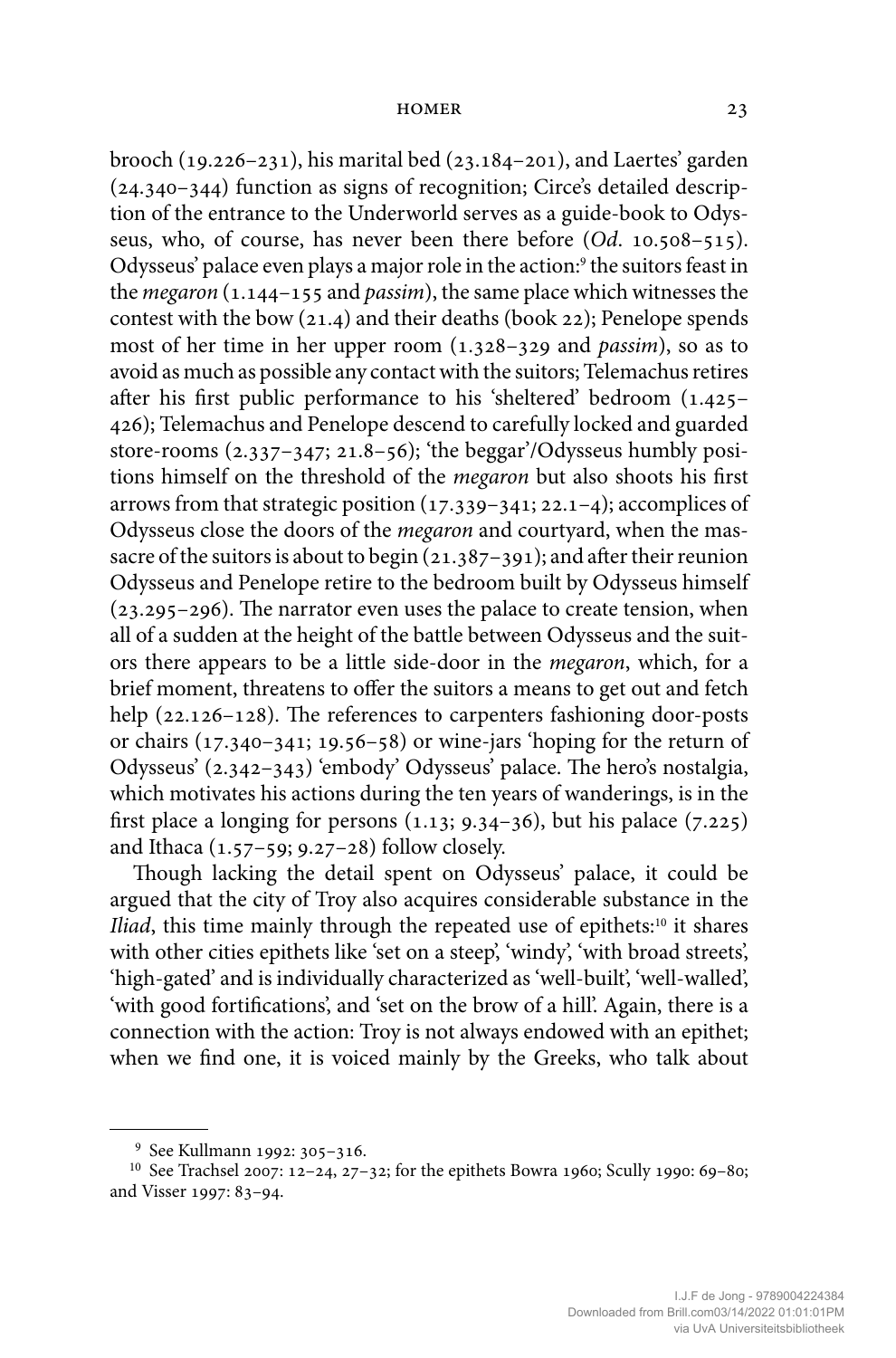brooch  $(19.226-231)$ , his marital bed  $(23.184-201)$ , and Laertes' garden  $(24.340 - 344)$  function as signs of recognition; Circe's detailed description of the entrance to the Underworld serves as a guide-book to Odysseus, who, of course, has never been there before  $(Od, 10.508 - 515)$ . Odysseus' palace even plays a major role in the action:<sup>9</sup> the suitors feast in the *megaron*  $(1.144 - 155$  and *passim*), the same place which witnesses the contest with the bow  $(21.4)$  and their deaths (book 22); Penelope spends most of her time in her upper room  $(1.328-329)$  and passim), so as to avoid as much as possible any contact with the suitors; Telemachus retires after his first public performance to his 'sheltered' bedroom  $(1.425 -$ ); Telemachus and Penelope descend to carefully locked and guarded store-rooms  $(2.337-347; 21.8-56)$ ; 'the beggar'/Odysseus humbly positions himself on the threshold of the *megaron* but also shoots his first arrows from that strategic position  $(17.339 - 341; 22.1 - 4)$ ; accomplices of Odysseus close the doors of the megaron and courtyard, when the massacre of the suitors is about to begin ( $21.387 - 391$ ); and after their reunion Odysseus and Penelope retire to the bedroom built by Odysseus himself  $(23.295 - 296)$ . The narrator even uses the palace to create tension, when all of a sudden at the height of the battle between Odysseus and the suitors there appears to be a little side-door in the megaron, which, for a brief moment, threatens to offer the suitors a means to get out and fetch help  $(22.126-128)$ . The references to carpenters fashioning door-posts or chairs (17.340-341; 19.56-58) or wine-jars 'hoping for the return of Odysseus'  $(2.342 - 343)$  'embody' Odysseus' palace. The hero's nostalgia, which motivates his actions during the ten years of wanderings, is in the first place a longing for persons  $(1.13; 9.34-36)$ , but his palace  $(7.225)$ and Ithaca  $(1.57-59; 9.27-28)$  follow closely.

Though lacking the detail spent on Odysseus' palace, it could be argued that the city of Troy also acquires considerable substance in the Iliad, this time mainly through the repeated use of epithets:<sup>10</sup> it shares with other cities epithets like 'set on a steep', 'windy', 'with broad streets', 'high-gated' and is individually characterized as 'well-built', 'well-walled', 'with good fortifications', and 'set on the brow of a hill'. Again, there is a connection with the action: Troy is not always endowed with an epithet; when we find one, it is voiced mainly by the Greeks, who talk about

<sup>9</sup> See Kullmann 1992: 305-316.

<sup>&</sup>lt;sup>10</sup> See Trachsel 2007:  $12-24$ ,  $27-32$ ; for the epithets Bowra 1960; Scully 1990: 69-80; and Visser 1997: 83-94.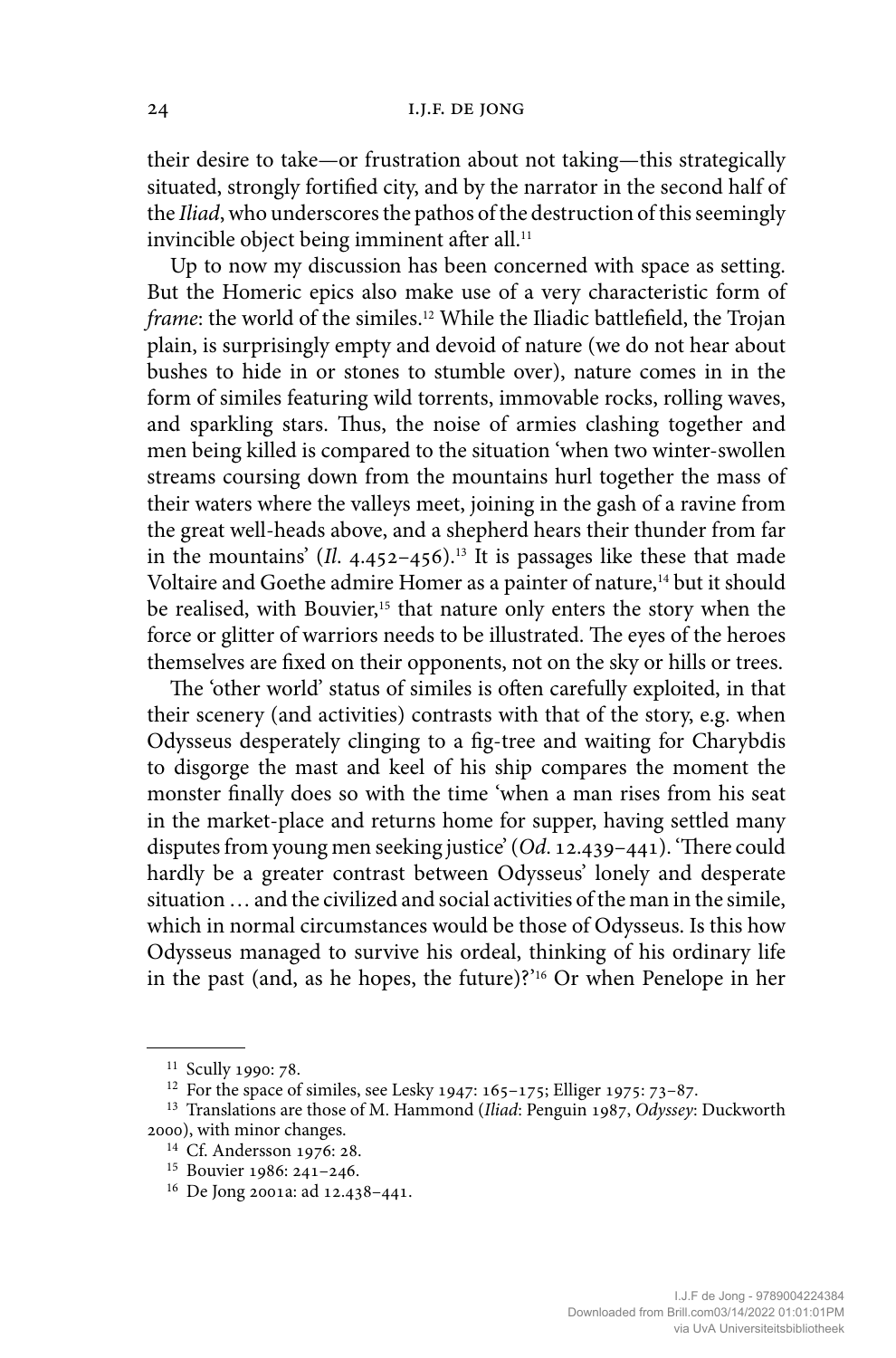their desire to take—or frustration about not taking—this strategically situated, strongly fortified city, and by the narrator in the second half of the Iliad, who underscores the pathos of the destruction of this seemingly invincible object being imminent after all. $11$ 

Up to now my discussion has been concerned with space as setting. But the Homeric epics also make use of a very characteristic form of frame: the world of the similes.<sup>12</sup> While the Iliadic battlefield, the Trojan plain, is surprisingly empty and devoid of nature (we do not hear about bushes to hide in or stones to stumble over), nature comes in in the form of similes featuring wild torrents, immovable rocks, rolling waves, and sparkling stars. Thus, the noise of armies clashing together and men being killed is compared to the situation 'when two winter-swollen streams coursing down from the mountains hurl together the mass of their waters where the valleys meet, joining in the gash of a ravine from the great well-heads above, and a shepherd hears their thunder from far in the mountains' (Il. 4.452-456).<sup>13</sup> It is passages like these that made Voltaire and Goethe admire Homer as a painter of nature,<sup>14</sup> but it should be realised, with Bouvier,<sup>15</sup> that nature only enters the story when the force or glitter of warriors needs to be illustrated. The eyes of the heroes themselves are fixed on their opponents, not on the sky or hills or trees.

The 'other world' status of similes is often carefully exploited, in that their scenery (and activities) contrasts with that of the story, e.g. when Odysseus desperately clinging to a fig-tree and waiting for Charybdis to disgorge the mast and keel of his ship compares the moment the monster finally does so with the time 'when a man rises from his seat in the market-place and returns home for supper, having settled many disputes from young men seeking justice'  $(Od. 12.439-441)$ . 'There could hardly be a greater contrast between Odysseus' lonely and desperate situation… and the civilized and social activities of the man in the simile, which in normal circumstances would be those of Odysseus. Is this how Odysseus managed to survive his ordeal, thinking of his ordinary life in the past (and, as he hopes, the future)?'<sup>16</sup> Or when Penelope in her

<sup>&</sup>lt;sup>11</sup> Scully 1990: 78.

<sup>&</sup>lt;sup>12</sup> For the space of similes, see Lesky 1947: 165-175; Elliger 1975: 73-87.

<sup>&</sup>lt;sup>13</sup> Translations are those of M. Hammond (*Iliad*: Penguin 1987, Odyssey: Duckworth ), with minor changes.

<sup>&</sup>lt;sup>14</sup> Cf. Andersson 1976: 28.

<sup>&</sup>lt;sup>15</sup> Bouvier 1986: 241-246.

<sup>&</sup>lt;sup>16</sup> De Jong 2001a: ad 12.438-441.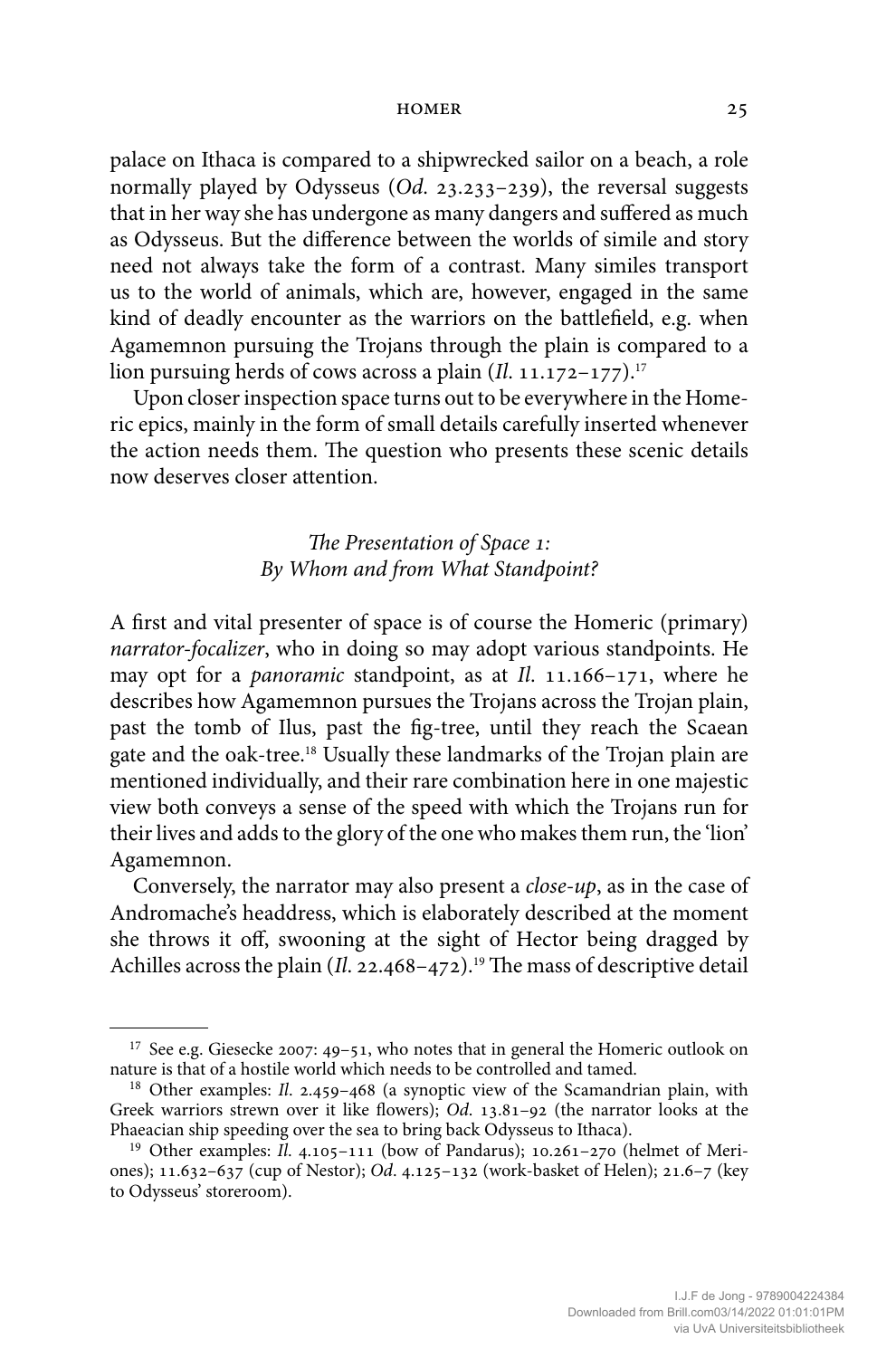palace on Ithaca is compared to a shipwrecked sailor on a beach, a role normally played by Odysseus  $(Od, 23.233 - 239)$ , the reversal suggests that in her way she has undergone as many dangers and suffered as much as Odysseus. But the difference between the worlds of simile and story need not always take the form of a contrast. Many similes transport us to the world of animals, which are, however, engaged in the same kind of deadly encounter as the warriors on the battlefield, e.g. when Agamemnon pursuing the Trojans through the plain is compared to a lion pursuing herds of cows across a plain  $(Il. 11.172-177).^{17}$ 

Upon closer inspection space turns out to be everywhere in the Homeric epics, mainly in the form of small details carefully inserted whenever the action needs them. The question who presents these scenic details now deserves closer attention.

### The Presentation of Space 1: By Whom and from What Standpoint?

A first and vital presenter of space is of course the Homeric (primary) narrator-focalizer, who in doing so may adopt various standpoints. He may opt for a *panoramic* standpoint, as at Il.  $11.166 - 171$ , where he describes how Agamemnon pursues the Trojans across the Trojan plain, past the tomb of Ilus, past the fig-tree, until they reach the Scaean gate and the oak-tree.<sup>18</sup> Usually these landmarks of the Trojan plain are mentioned individually, and their rare combination here in one majestic view both conveys a sense of the speed with which the Trojans run for their lives and adds to the glory of the one who makes them run, the 'lion' Agamemnon.

Conversely, the narrator may also present a close-up, as in the case of Andromache's headdress, which is elaborately described at the moment she throws it off, swooning at the sight of Hector being dragged by Achilles across the plain (Il. 22.468-472).<sup>19</sup> The mass of descriptive detail

<sup>&</sup>lt;sup>17</sup> See e.g. Giesecke 2007: 49-51, who notes that in general the Homeric outlook on nature is that of a hostile world which needs to be controlled and tamed.

<sup>&</sup>lt;sup>18</sup> Other examples: *Il.* 2.459-468 (a synoptic view of the Scamandrian plain, with Greek warriors strewn over it like flowers); Od. 13.81-92 (the narrator looks at the Phaeacian ship speeding over the sea to bring back Odysseus to Ithaca).

<sup>&</sup>lt;sup>19</sup> Other examples:  $I\bar{l}$ . 4.105-111 (bow of Pandarus); 10.261-270 (helmet of Meriones);  $11.632-637$  (cup of Nestor); Od.  $4.125-132$  (work-basket of Helen);  $21.6-7$  (key to Odysseus' storeroom).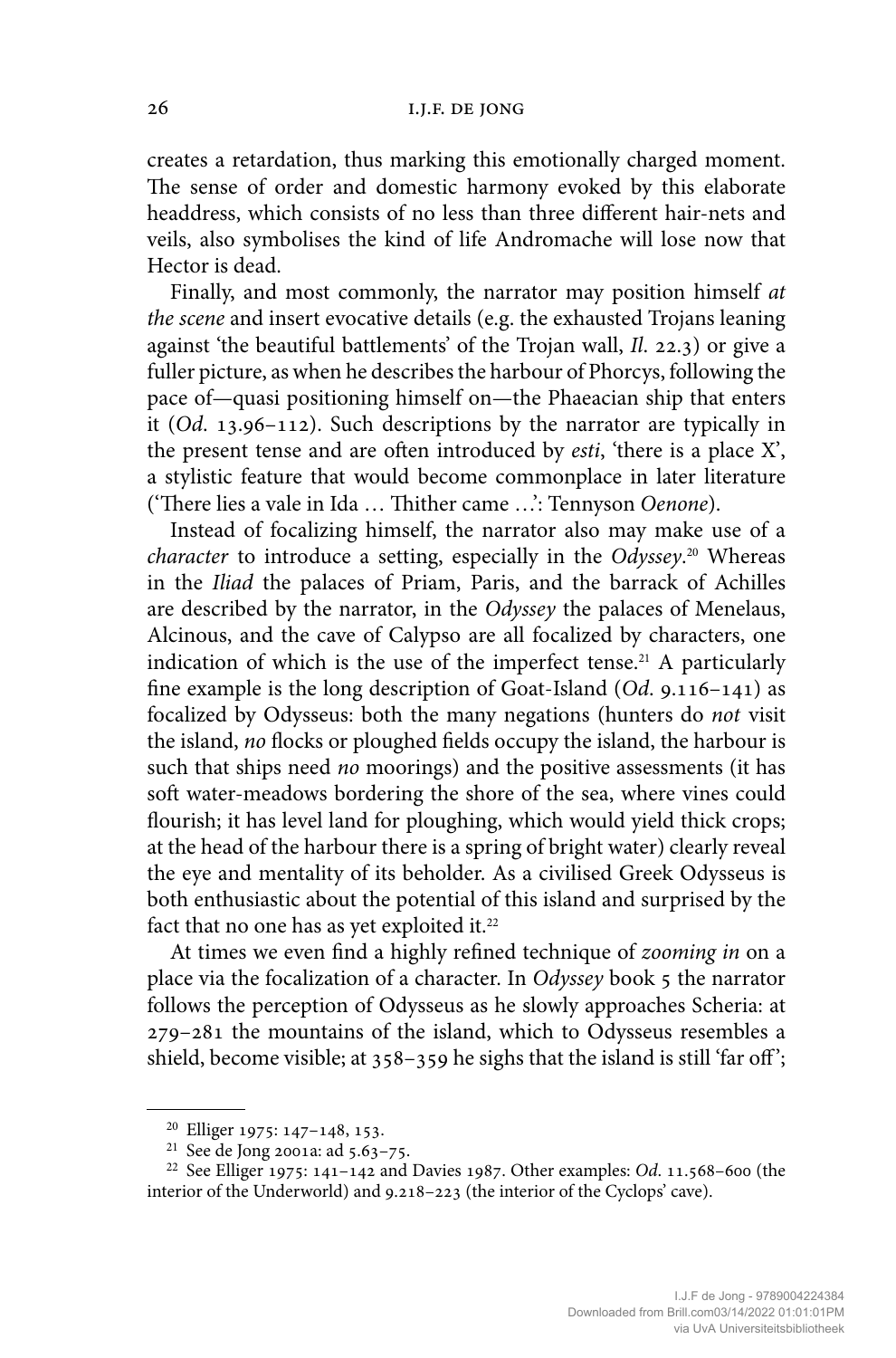creates a retardation, thus marking this emotionally charged moment. The sense of order and domestic harmony evoked by this elaborate headdress, which consists of no less than three different hair-nets and veils, also symbolises the kind of life Andromache will lose now that Hector is dead.

Finally, and most commonly, the narrator may position himself at the scene and insert evocative details (e.g. the exhausted Trojans leaning against 'the beautiful battlements' of the Trojan wall,  $I_l$ . 22.3) or give a fuller picture, as when he describes the harbour of Phorcys, following the pace of—quasi positioning himself on—the Phaeacian ship that enters it  $(Od. 13.96-112)$ . Such descriptions by the narrator are typically in the present tense and are often introduced by *esti*, 'there is a place  $X'$ , a stylistic feature that would become commonplace in later literature ('There lies a vale in Ida ... Thither came ...': Tennyson Oenone).

Instead of focalizing himself, the narrator also may make use of a character to introduce a setting, especially in the Odyssey.<sup>20</sup> Whereas in the Iliad the palaces of Priam, Paris, and the barrack of Achilles are described by the narrator, in the Odyssey the palaces of Menelaus, Alcinous, and the cave of Calypso are all focalized by characters, one indication of which is the use of the imperfect tense.<sup>21</sup> A particularly fine example is the long description of Goat-Island  $(Od. 9.116-141)$  as focalized by Odysseus: both the many negations (hunters do not visit the island, no flocks or ploughed fields occupy the island, the harbour is such that ships need *no* moorings) and the positive assessments (it has soft water-meadows bordering the shore of the sea, where vines could flourish; it has level land for ploughing, which would yield thick crops; at the head of the harbour there is a spring of bright water) clearly reveal the eye and mentality of its beholder. As a civilised Greek Odysseus is both enthusiastic about the potential of this island and surprised by the fact that no one has as yet exploited it.<sup>22</sup>

At times we even find a highly refined technique of zooming in on a place via the focalization of a character. In Odyssey book 5 the narrator follows the perception of Odysseus as he slowly approaches Scheria: at  $279 - 281$  the mountains of the island, which to Odysseus resembles a shield, become visible; at  $358 - 359$  he sighs that the island is still 'far off';

<sup>&</sup>lt;sup>20</sup> Elliger 1975: 147-148, 153.

 $21$  See de Jong 2001a: ad 5.63-75.

<sup>&</sup>lt;sup>22</sup> See Elliger 1975: 141-142 and Davies 1987. Other examples: Od. 11.568-600 (the interior of the Underworld) and 9.218-223 (the interior of the Cyclops' cave).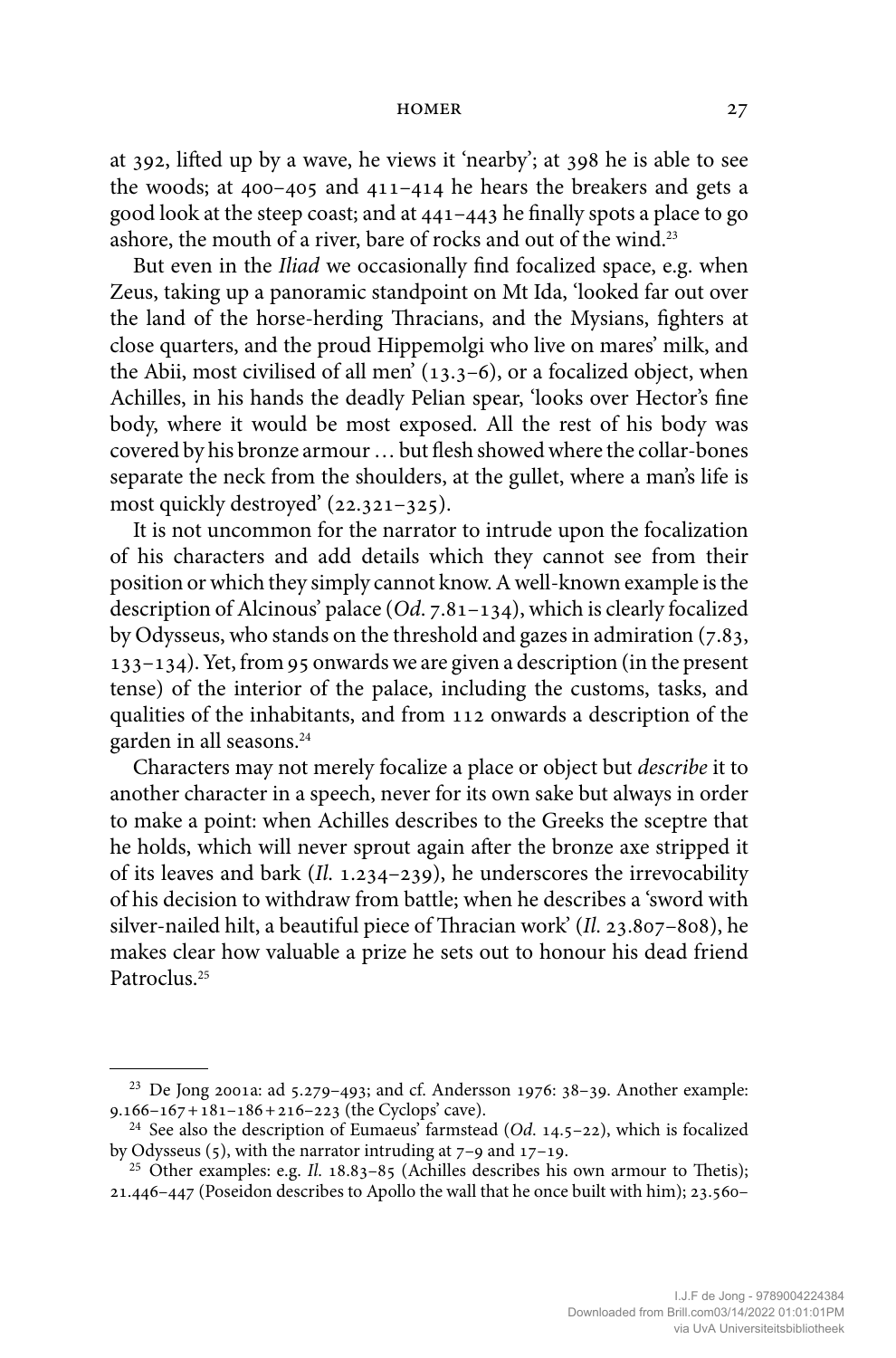at  $392$ , lifted up by a wave, he views it 'nearby'; at  $398$  he is able to see the woods; at  $400-405$  and  $411-414$  he hears the breakers and gets a good look at the steep coast; and at  $441-443$  he finally spots a place to go ashore, the mouth of a river, bare of rocks and out of the wind.<sup>23</sup>

But even in the *Iliad* we occasionally find focalized space, e.g. when Zeus, taking up a panoramic standpoint on Mt Ida, 'looked far out over the land of the horse-herding Thracians, and the Mysians, fighters at close quarters, and the proud Hippemolgi who live on mares' milk, and the Abii, most civilised of all men'  $(13.3-6)$ , or a focalized object, when Achilles, in his hands the deadly Pelian spear, 'looks over Hector's fine body, where it would be most exposed. All the rest of his body was covered by his bronze armour ... but flesh showed where the collar-bones separate the neck from the shoulders, at the gullet, where a man's life is most quickly destroyed'  $(22.321 - 325)$ .

It is not uncommon for the narrator to intrude upon the focalization of his characters and add details which they cannot see from their position or which they simply cannot know. A well-known example is the description of Alcinous' palace ( $Od. 7.81-134$ ), which is clearly focalized by Odysseus, who stands on the threshold and gazes in admiration  $(7.83, 1.00)$  $133-134$ ). Yet, from 95 onwards we are given a description (in the present tense) of the interior of the palace, including the customs, tasks, and qualities of the inhabitants, and from 112 onwards a description of the garden in all seasons.<sup>24</sup>

Characters may not merely focalize a place or object but describe it to another character in a speech, never for its own sake but always in order to make a point: when Achilles describes to the Greeks the sceptre that he holds, which will never sprout again after the bronze axe stripped it of its leaves and bark  $(Il. 1.234-239)$ , he underscores the irrevocability of his decision to withdraw from battle; when he describes a 'sword with silver-nailed hilt, a beautiful piece of Thracian work'  $(1l. 23.807 - 808)$ , he makes clear how valuable a prize he sets out to honour his dead friend Patroclus<sup>25</sup>

<sup>&</sup>lt;sup>23</sup> De Jong 2001a: ad  $5.279 - 493$ ; and cf. Andersson 1976:  $38 - 39$ . Another example:  $9.166 - 167 + 181 - 186 + 216 - 223$  (the Cyclops' cave).

<sup>&</sup>lt;sup>24</sup> See also the description of Eumaeus' farmstead (Od. 14.5-22), which is focalized by Odysseus (5), with the narrator intruding at  $7-9$  and  $17-19$ .

<sup>&</sup>lt;sup>25</sup> Other examples: e.g. *Il.*  $18.83-85$  (Achilles describes his own armour to Thetis); 21.446-447 (Poseidon describes to Apollo the wall that he once built with him); 23.560-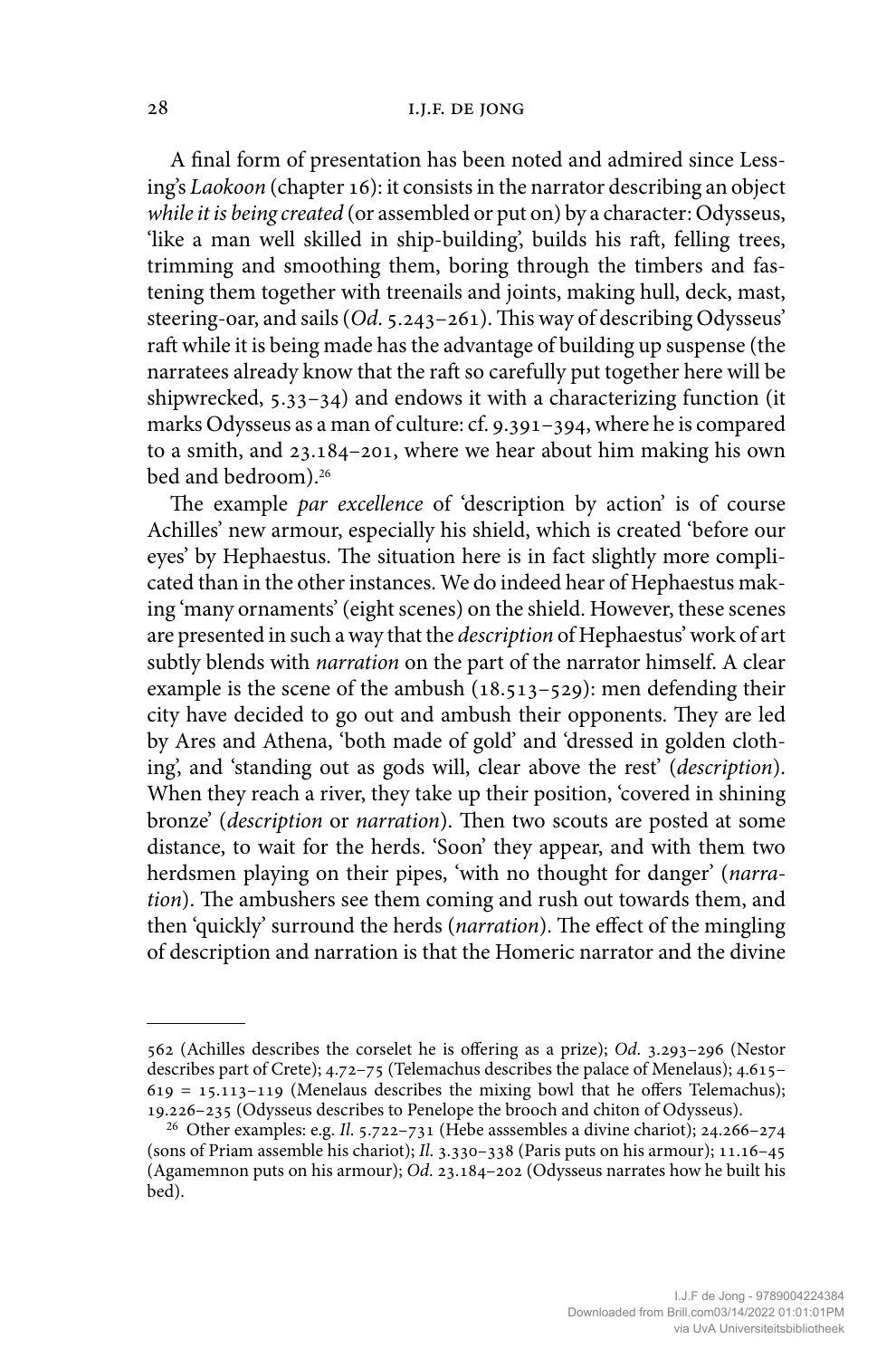A final form of presentation has been noted and admired since Lessing's Laokoon (chapter 16): it consists in the narrator describing an object while it is being created (or assembled or put on) by a character: Odysseus, 'like a man well skilled in ship-building', builds his raft, felling trees, trimming and smoothing them, boring through the timbers and fastening them together with treenails and joints, making hull, deck, mast, steering-oar, and sails  $(Od, 5.243 - 261)$ . This way of describing Odysseus' raft while it is being made has the advantage of building up suspense (the narratees already know that the raft so carefully put together here will be shipwrecked,  $5.33-34$ ) and endows it with a characterizing function (it marks Odysseus as a man of culture: cf. 9.391-394, where he is compared to a smith, and  $23.184 - 201$ , where we hear about him making his own bed and bedroom).<sup>26</sup>

The example par excellence of 'description by action' is of course Achilles' new armour, especially his shield, which is created 'before our eyes' by Hephaestus. The situation here is in fact slightly more complicated than in the other instances. We do indeed hear of Hephaestus making 'many ornaments' (eight scenes) on the shield. However, these scenes are presented in such a way that the description of Hephaestus' work of art subtly blends with narration on the part of the narrator himself. A clear example is the scene of the ambush  $(18.513 - 529)$ : men defending their city have decided to go out and ambush their opponents. They are led by Ares and Athena, 'both made of gold' and 'dressed in golden clothing', and 'standing out as gods will, clear above the rest' (description). When they reach a river, they take up their position, 'covered in shining bronze' (description or narration). Then two scouts are posted at some distance, to wait for the herds. 'Soon' they appear, and with them two herdsmen playing on their pipes, 'with no thought for danger' (narration). The ambushers see them coming and rush out towards them, and then 'quickly' surround the herds (narration). The effect of the mingling of description and narration is that the Homeric narrator and the divine

<sup>562 (</sup>Achilles describes the corselet he is offering as a prize); Od. 3.293-296 (Nestor describes part of Crete);  $4.72-75$  (Telemachus describes the palace of Menelaus);  $4.615 619 = 15.113 - 119$  (Menelaus describes the mixing bowl that he offers Telemachus); 19.226-235 (Odysseus describes to Penelope the brooch and chiton of Odysseus).

<sup>&</sup>lt;sup>26</sup> Other examples: e.g. *Il.* 5.722-731 (Hebe asssembles a divine chariot); 24.266-274 (sons of Priam assemble his chariot);  $I$ . 3.330-338 (Paris puts on his armour); 11.16-45 (Agamemnon puts on his armour); Od. 23.184–202 (Odysseus narrates how he built his bed).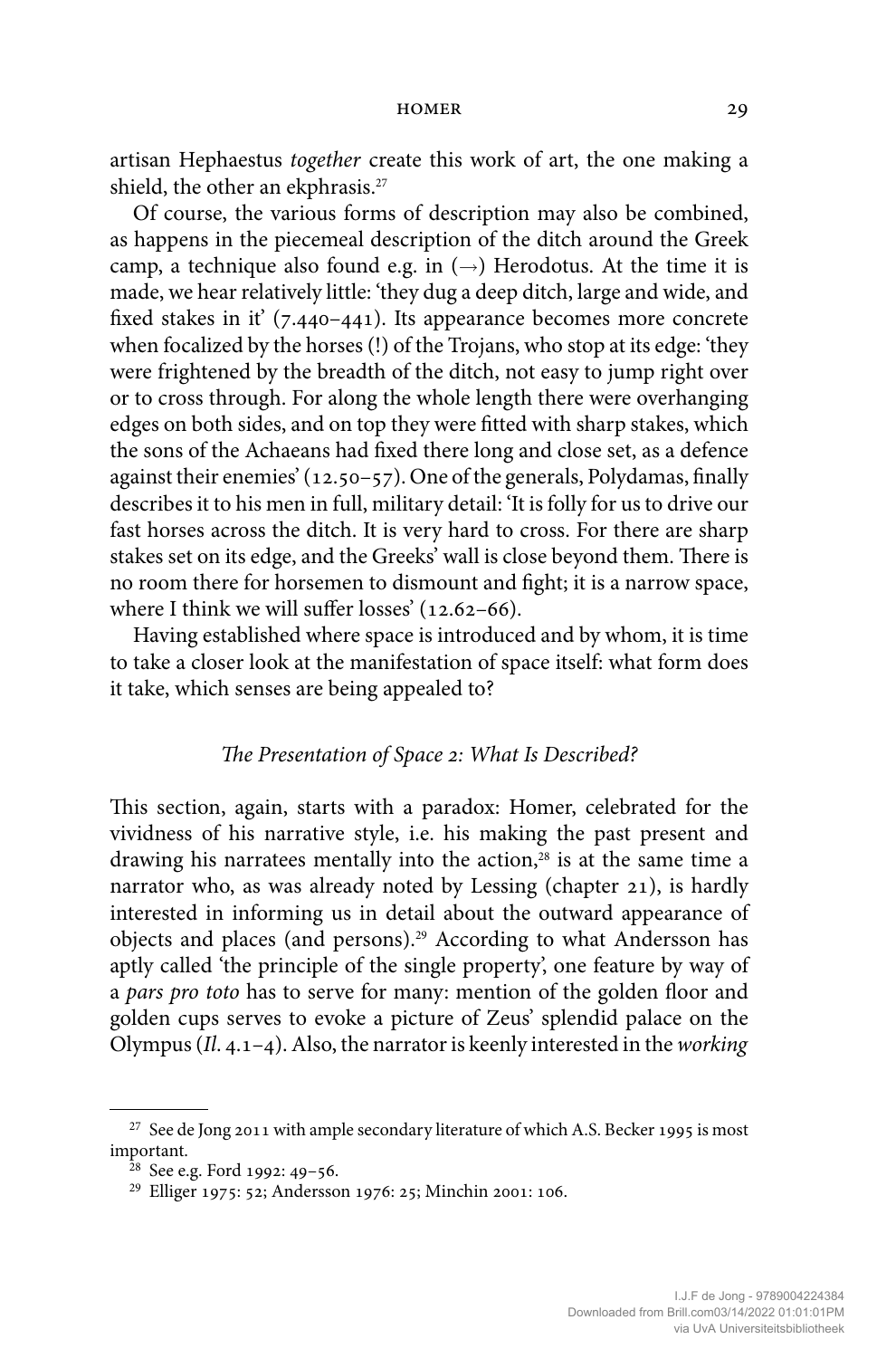artisan Hephaestus together create this work of art, the one making a shield, the other an ekphrasis.<sup>27</sup>

Of course, the various forms of description may also be combined, as happens in the piecemeal description of the ditch around the Greek camp, a technique also found e.g. in  $(\rightarrow)$  Herodotus. At the time it is made, we hear relatively little: 'they dug a deep ditch, large and wide, and fixed stakes in it'  $(7.440-441)$ . Its appearance becomes more concrete when focalized by the horses (!) of the Trojans, who stop at its edge: 'they were frightened by the breadth of the ditch, not easy to jump right over or to cross through. For along the whole length there were overhanging edges on both sides, and on top they were fitted with sharp stakes, which the sons of the Achaeans had fixed there long and close set, as a defence against their enemies'  $(12.50-57)$ . One of the generals, Polydamas, finally describes it to his men in full, military detail: 'It is folly for us to drive our fast horses across the ditch. It is very hard to cross. For there are sharp stakes set on its edge, and the Greeks' wall is close beyond them. There is no room there for horsemen to dismount and fight; it is a narrow space, where I think we will suffer losses'  $(12.62-66)$ .

Having established where space is introduced and by whom, it is time to take a closer look at the manifestation of space itself: what form does it take, which senses are being appealed to?

#### The Presentation of Space 2: What Is Described?

This section, again, starts with a paradox: Homer, celebrated for the vividness of his narrative style, i.e. his making the past present and drawing his narratees mentally into the action, $28$  is at the same time a narrator who, as was already noted by Lessing (chapter 21), is hardly interested in informing us in detail about the outward appearance of objects and places (and persons).<sup>29</sup> According to what Andersson has aptly called 'the principle of the single property', one feature by way of a pars pro toto has to serve for many: mention of the golden floor and golden cups serves to evoke a picture of Zeus' splendid palace on the Olympus (Il. 4.1–4). Also, the narrator is keenly interested in the *working* 

 $27$  See de Jong 2011 with ample secondary literature of which A.S. Becker 1995 is most important.

 $28$  See e.g. Ford 1992: 49–56.

<sup>&</sup>lt;sup>29</sup> Elliger 1975: 52; Andersson 1976: 25; Minchin 2001: 106.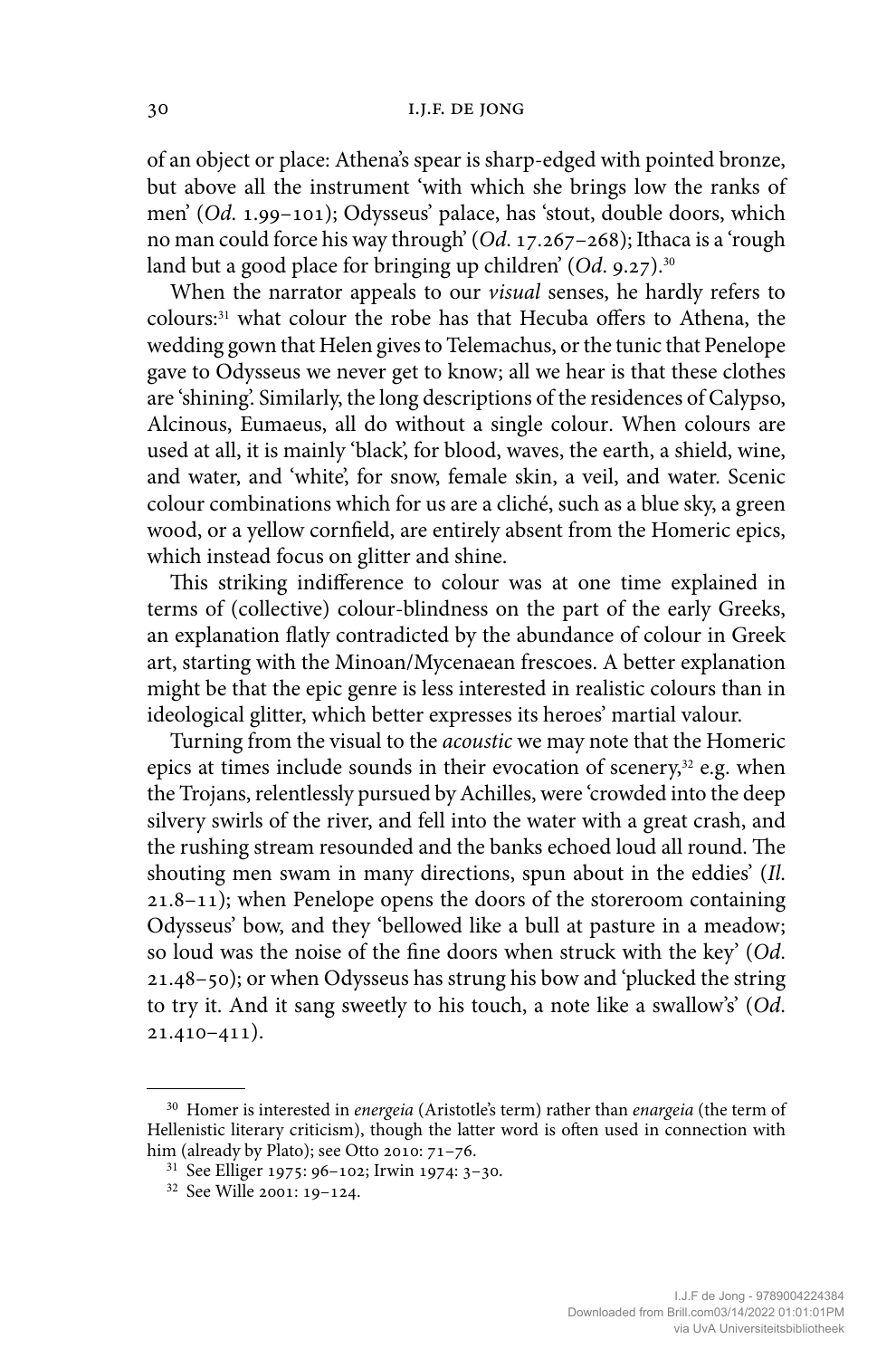of an object or place: Athena's spear is sharp-edged with pointed bronze, but above all the instrument 'with which she brings low the ranks of men'  $(Od. 1.99-101)$ ; Odysseus' palace, has 'stout, double doors, which no man could force his way through'  $(Od. 17.267 - 268)$ ; Ithaca is a 'rough' land but a good place for bringing up children'  $(Od, 9.27).$ <sup>30</sup>

When the narrator appeals to our *visual* senses, he hardly refers to colours:<sup>31</sup> what colour the robe has that Hecuba offers to Athena, the wedding gown that Helen gives to Telemachus, or the tunic that Penelope gave to Odysseus we never get to know; all we hear is that these clothes are 'shining'. Similarly, the long descriptions of the residences of Calypso, Alcinous, Eumaeus, all do without a single colour. When colours are used at all, it is mainly 'black', for blood, waves, the earth, a shield, wine, and water, and 'white', for snow, female skin, a veil, and water. Scenic colour combinations which for us are a cliché, such as a blue sky, a green wood, or a yellow cornfield, are entirely absent from the Homeric epics, which instead focus on glitter and shine.

This striking indifference to colour was at one time explained in terms of (collective) colour-blindness on the part of the early Greeks, an explanation flatly contradicted by the abundance of colour in Greek art, starting with the Minoan/Mycenaean frescoes. A better explanation might be that the epic genre is less interested in realistic colours than in ideological glitter, which better expresses its heroes' martial valour.

Turning from the visual to the acoustic we may note that the Homeric epics at times include sounds in their evocation of scenery,<sup>32</sup> e.g. when the Trojans, relentlessly pursued by Achilles, were 'crowded into the deep silvery swirls of the river, and fell into the water with a great crash, and the rushing stream resounded and the banks echoed loud all round. The shouting men swam in many directions, spun about in the eddies' (Il.  $21.8-11$ ; when Penelope opens the doors of the storeroom containing Odysseus' bow, and they 'bellowed like a bull at pasture in a meadow; so loud was the noise of the fine doors when struck with the key' (Od. .–); or when Odysseus has strung his bow and 'plucked the string to try it. And it sang sweetly to his touch, a note like a swallow's' (Od.  $21.410 - 411$ .

<sup>&</sup>lt;sup>30</sup> Homer is interested in *energeia* (Aristotle's term) rather than *enargeia* (the term of Hellenistic literary criticism), though the latter word is often used in connection with him (already by Plato); see Otto 2010:  $71-76$ .

 $31$  See Elliger 1975: 96-102; Irwin 1974: 3-30.

 $32$  See Wille 2001: 19-124.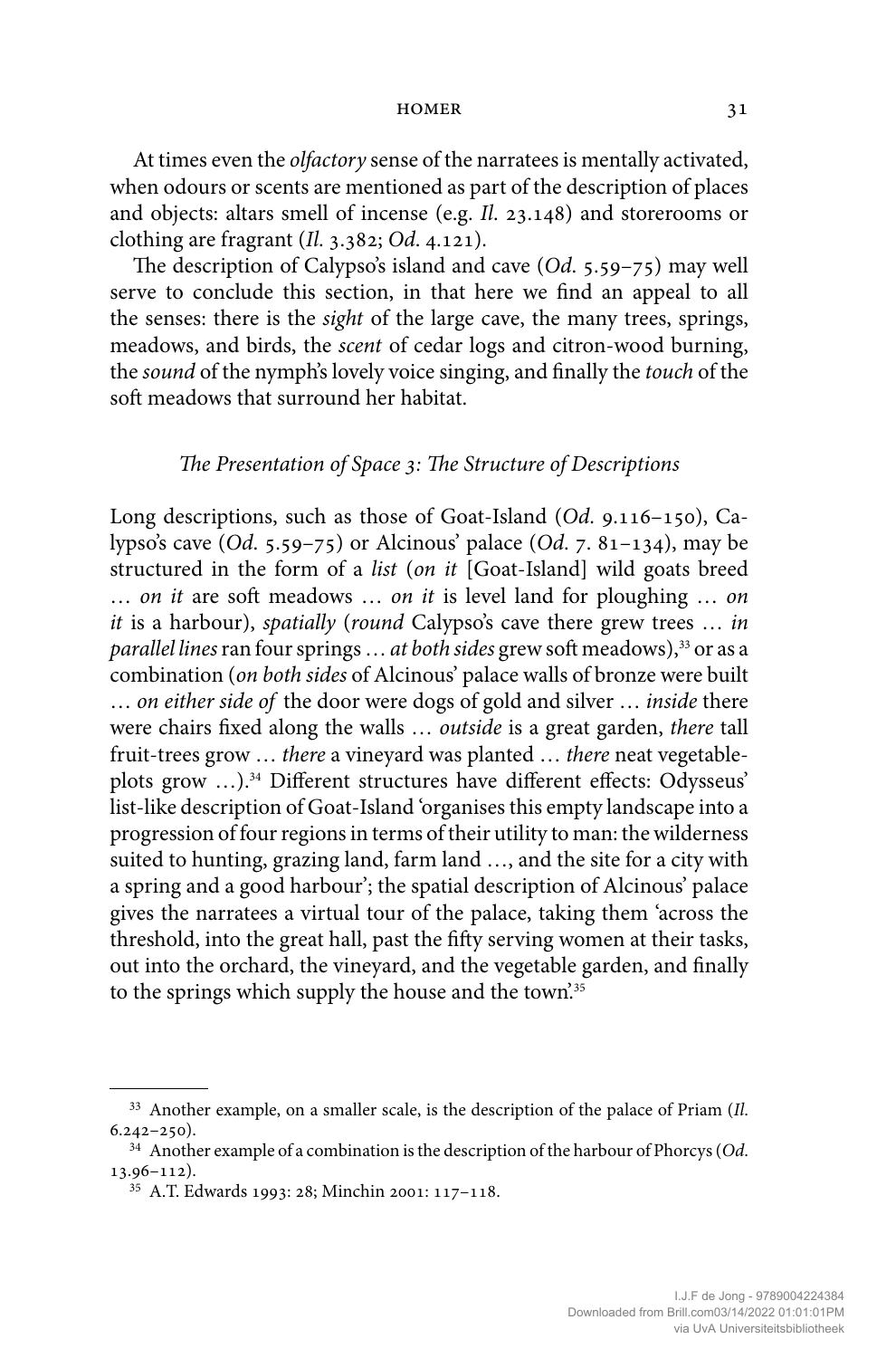At times even the olfactory sense of the narratees is mentally activated, when odours or scents are mentioned as part of the description of places and objects: altars smell of incense (e.g. Il. 23.148) and storerooms or clothing are fragrant  $(II. 3.382; Od. 4.121).$ 

The description of Calypso's island and cave  $(Od. 5.59-75)$  may well serve to conclude this section, in that here we find an appeal to all the senses: there is the sight of the large cave, the many trees, springs, meadows, and birds, the scent of cedar logs and citron-wood burning, the sound of the nymph's lovely voice singing, and finally the touch of the soft meadows that surround her habitat.

### The Presentation of Space 3: The Structure of Descriptions

Long descriptions, such as those of Goat-Island  $(Od. 9.116-150)$ , Calypso's cave  $(Od. 5.59-75)$  or Alcinous' palace  $(Od. 7.81-134)$ , may be structured in the form of a list (on it [Goat-Island] wild goats breed ... on it are soft meadows ... on it is level land for ploughing ... on it is a harbour), *spatially (round Calypso's cave there grew trees ... in* parallel lines ran four springs  $\ldots$  at both sides grew soft meadows),<sup>33</sup> or as a combination (on both sides of Alcinous' palace walls of bronze were built … on either side of the door were dogs of gold and silver … inside there were chairs fixed along the walls ... *outside* is a great garden, *there* tall fruit-trees grow … there a vineyard was planted … there neat vegetableplots grow ...).<sup>34</sup> Different structures have different effects: Odysseus' list-like description of Goat-Island 'organises this empty landscape into a progression of four regions in terms of their utility to man: the wilderness suited to hunting, grazing land, farm land …, and the site for a city with a spring and a good harbour'; the spatial description of Alcinous' palace gives the narratees a virtual tour of the palace, taking them 'across the threshold, into the great hall, past the fifty serving women at their tasks, out into the orchard, the vineyard, and the vegetable garden, and finally to the springs which supply the house and the town.<sup>35</sup>

 $33$  Another example, on a smaller scale, is the description of the palace of Priam  $(II, I)$  $6.242 - 250$ ).

 $34$  Another example of a combination is the description of the harbour of Phorcys (Od.  $13.96 - 112$ ).

<sup>35</sup> A.T. Edwards 1993: 28; Minchin 2001: 117-118.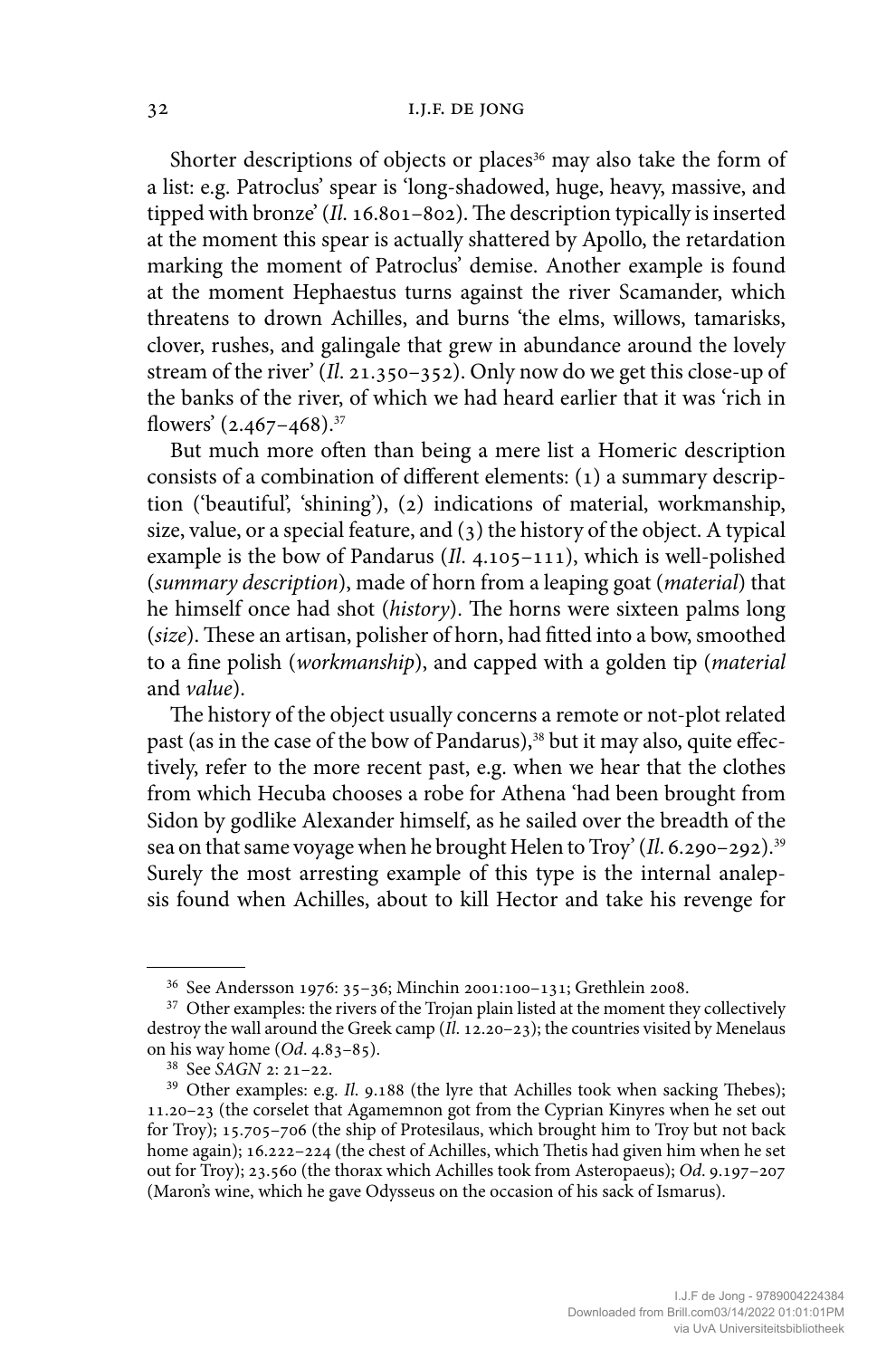Shorter descriptions of objects or places<sup>36</sup> may also take the form of a list: e.g. Patroclus' spear is 'long-shadowed, huge, heavy, massive, and tipped with bronze'  $(I\bar{l}$ , 16.801-802). The description typically is inserted at the moment this spear is actually shattered by Apollo, the retardation marking the moment of Patroclus' demise. Another example is found at the moment Hephaestus turns against the river Scamander, which threatens to drown Achilles, and burns 'the elms, willows, tamarisks, clover, rushes, and galingale that grew in abundance around the lovely stream of the river'  $(II. 21.350-352)$ . Only now do we get this close-up of the banks of the river, of which we had heard earlier that it was 'rich in flowers' (2.467-468).<sup>37</sup>

But much more often than being a mere list a Homeric description consists of a combination of different elements: (1) a summary description ('beautiful', 'shining'), (2) indications of material, workmanship, size, value, or a special feature, and  $(3)$  the history of the object. A typical example is the bow of Pandarus  $(Il. 4.105-111)$ , which is well-polished (summary description), made of horn from a leaping goat (material) that he himself once had shot (history). The horns were sixteen palms long (size). These an artisan, polisher of horn, had fitted into a bow, smoothed to a fine polish (workmanship), and capped with a golden tip (material and value).

The history of the object usually concerns a remote or not-plot related past (as in the case of the bow of Pandarus),<sup>38</sup> but it may also, quite effectively, refer to the more recent past, e.g. when we hear that the clothes from which Hecuba chooses a robe for Athena 'had been brought from Sidon by godlike Alexander himself, as he sailed over the breadth of the sea on that same voyage when he brought Helen to Troy' (Il. 6.290-292).<sup>39</sup> Surely the most arresting example of this type is the internal analepsis found when Achilles, about to kill Hector and take his revenge for

 $36$  See Andersson 1976: 35-36; Minchin 2001:100-131; Grethlein 2008.

<sup>&</sup>lt;sup>37</sup> Other examples: the rivers of the Trojan plain listed at the moment they collectively destroy the wall around the Greek camp  $(Il. 12.20-23)$ ; the countries visited by Menelaus on his way home  $(Od. 4.83-85).$ 

<sup>&</sup>lt;sup>38</sup> See SAGN 2: 21-22.

<sup>&</sup>lt;sup>39</sup> Other examples: e.g. *Il.*  $9.188$  (the lyre that Achilles took when sacking Thebes); 11.20-23 (the corselet that Agamemnon got from the Cyprian Kinyres when he set out for Troy); 15.705-706 (the ship of Protesilaus, which brought him to Troy but not back home again); 16.222-224 (the chest of Achilles, which Thetis had given him when he set out for Troy); 23.560 (the thorax which Achilles took from Asteropaeus); Od. 9.197-207 (Maron's wine, which he gave Odysseus on the occasion of his sack of Ismarus).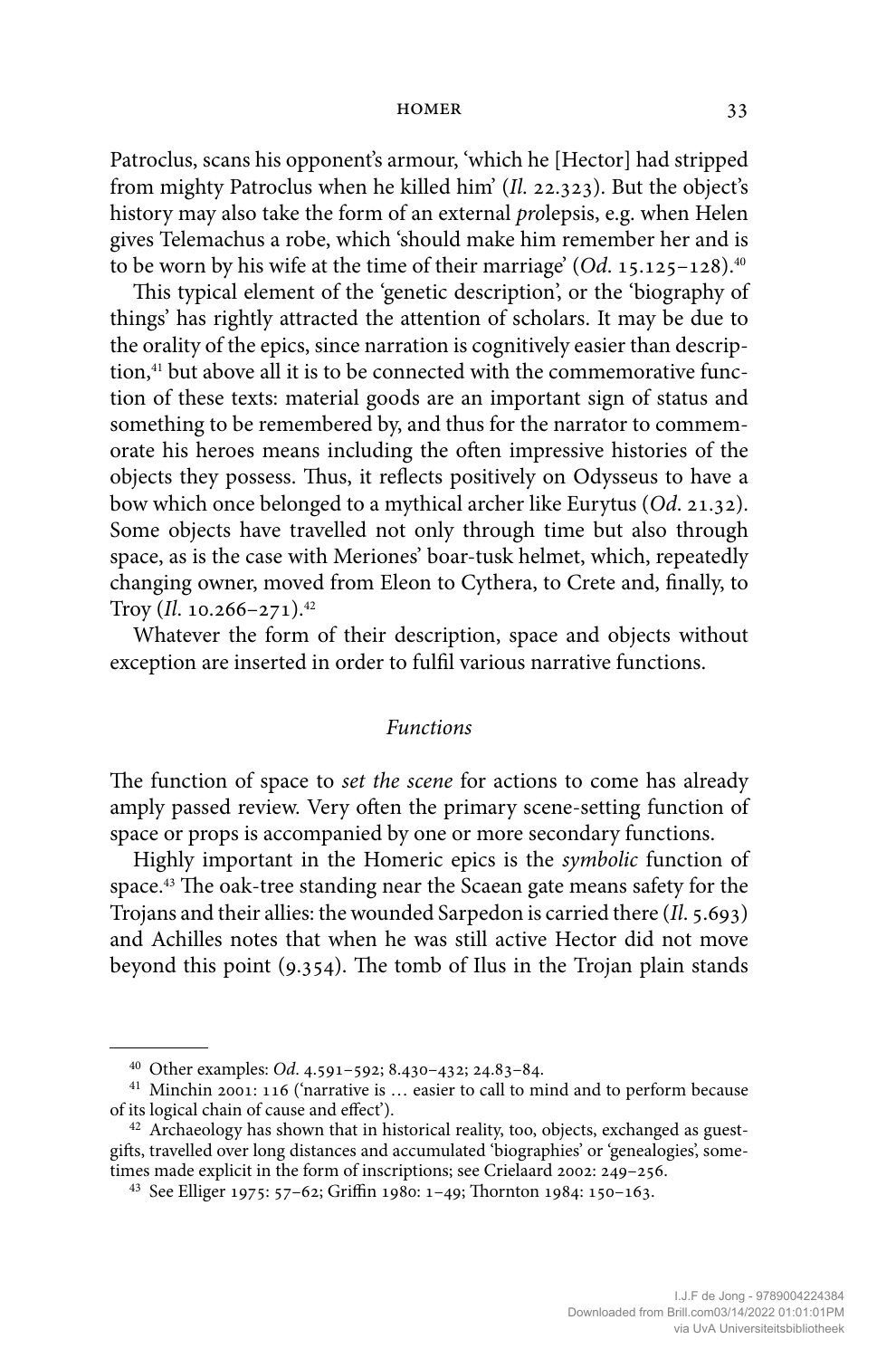Patroclus, scans his opponent's armour, 'which he [Hector] had stripped from mighty Patroclus when he killed him'  $(Il. 22.323)$ . But the object's history may also take the form of an external prolepsis, e.g. when Helen gives Telemachus a robe, which 'should make him remember her and is to be worn by his wife at the time of their marriage'  $(Od. 15.125 - 128).$ <sup>40</sup>

This typical element of the 'genetic description', or the 'biography of things' has rightly attracted the attention of scholars. It may be due to the orality of the epics, since narration is cognitively easier than description,<sup>41</sup> but above all it is to be connected with the commemorative function of these texts: material goods are an important sign of status and something to be remembered by, and thus for the narrator to commemorate his heroes means including the often impressive histories of the objects they possess. Thus, it reflects positively on Odysseus to have a bow which once belonged to a mythical archer like Eurytus  $(Od. 21.32).$ Some objects have travelled not only through time but also through space, as is the case with Meriones' boar-tusk helmet, which, repeatedly changing owner, moved from Eleon to Cythera, to Crete and, finally, to Troy (Il. 10.266-271).<sup>42</sup>

Whatever the form of their description, space and objects without exception are inserted in order to fulfil various narrative functions.

### Functions

The function of space to set the scene for actions to come has already amply passed review. Very often the primary scene-setting function of space or props is accompanied by one or more secondary functions.

Highly important in the Homeric epics is the symbolic function of space.<sup>43</sup> The oak-tree standing near the Scaean gate means safety for the Trojans and their allies: the wounded Sarpedon is carried there  $(Il. 5.693)$ and Achilles notes that when he was still active Hector did not move beyond this point  $(9.354)$ . The tomb of Ilus in the Trojan plain stands

<sup>40</sup> Other examples: Od. 4.591-592; 8.430-432; 24.83-84.

<sup>&</sup>lt;sup>41</sup> Minchin 2001: 116 ('narrative is  $\dots$  easier to call to mind and to perform because of its logical chain of cause and effect').

<sup>&</sup>lt;sup>42</sup> Archaeology has shown that in historical reality, too, objects, exchanged as guestgifts, travelled over long distances and accumulated 'biographies' or 'genealogies', sometimes made explicit in the form of inscriptions; see Crielaard 2002:  $249-256$ .

<sup>43</sup> See Elliger 1975: 57-62; Griffin 1980: 1-49; Thornton 1984: 150-163.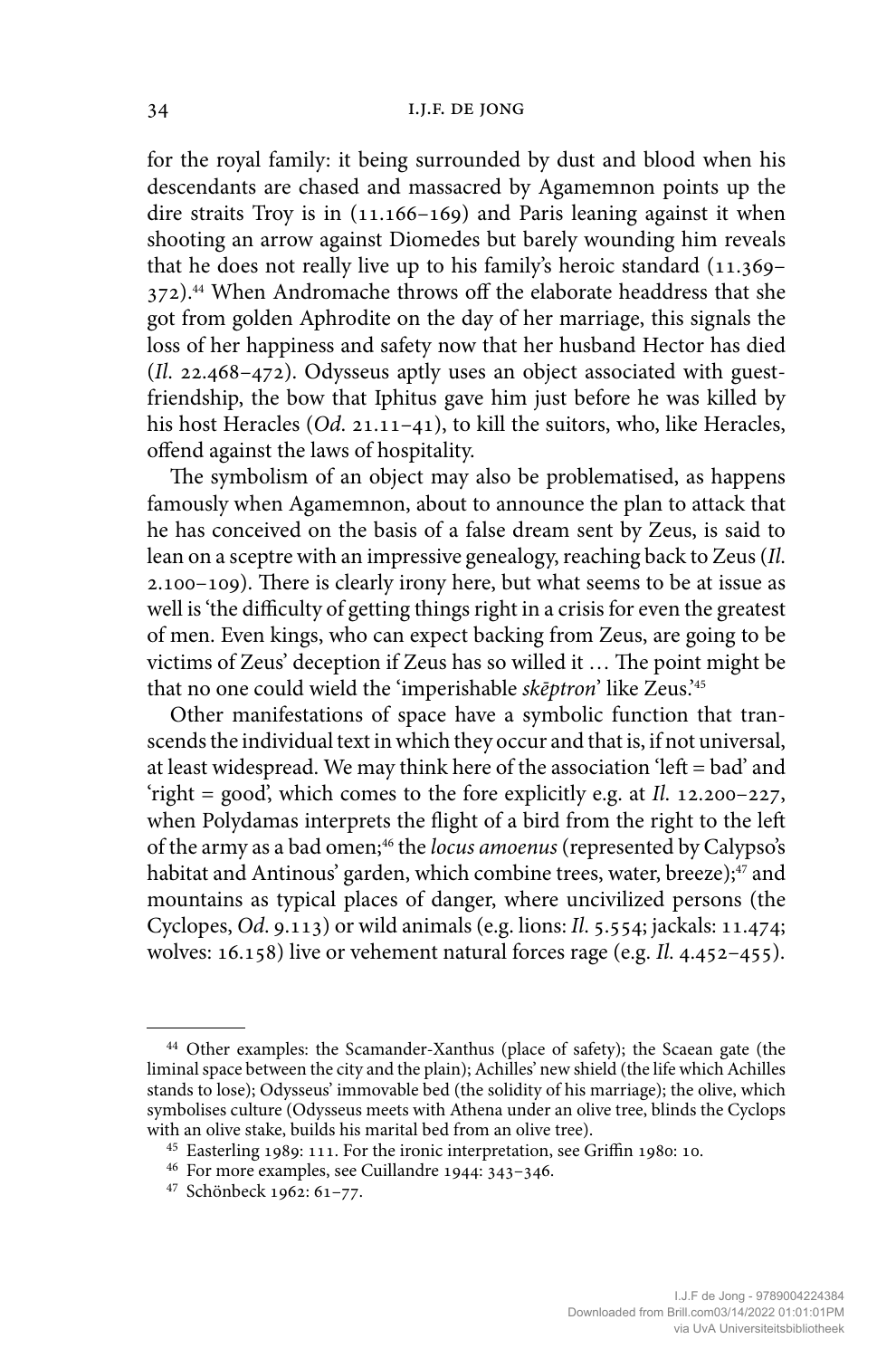for the royal family: it being surrounded by dust and blood when his descendants are chased and massacred by Agamemnon points up the dire straits Troy is in  $(11.166-169)$  and Paris leaning against it when shooting an arrow against Diomedes but barely wounding him reveals that he does not really live up to his family's heroic standard  $(11.369 -$ 372).<sup>44</sup> When Andromache throws off the elaborate headdress that she got from golden Aphrodite on the day of her marriage, this signals the loss of her happiness and safety now that her husband Hector has died  $(II. 22.468 - 472)$ . Odysseus aptly uses an object associated with guestfriendship, the bow that Iphitus gave him just before he was killed by his host Heracles ( $Od. 21.11-41$ ), to kill the suitors, who, like Heracles, offend against the laws of hospitality.

The symbolism of an object may also be problematised, as happens famously when Agamemnon, about to announce the plan to attack that he has conceived on the basis of a false dream sent by Zeus, is said to lean on a sceptre with an impressive genealogy, reaching back to Zeus (Il.  $2.100-109$ ). There is clearly irony here, but what seems to be at issue as well is 'the difficulty of getting things right in a crisis for even the greatest of men. Even kings, who can expect backing from Zeus, are going to be victims of Zeus' deception if Zeus has so willed it ... The point might be that no one could wield the 'imperishable skēptron' like Zeus.'45

Other manifestations of space have a symbolic function that transcends the individual text in which they occur and that is, if not universal, at least widespread. We may think here of the association 'left = bad' and 'right = good', which comes to the fore explicitly e.g. at  $I\ell$ . 12.200-227, when Polydamas interprets the flight of a bird from the right to the left of the army as a bad omen;<sup>46</sup> the *locus amoenus* (represented by Calypso's habitat and Antinous' garden, which combine trees, water, breeze);<sup>47</sup> and mountains as typical places of danger, where uncivilized persons (the Cyclopes, Od. 9.113) or wild animals (e.g. lions: Il. 5.554; jackals: 11.474; wolves:  $16.158$ ) live or vehement natural forces rage (e.g. Il.  $4.452-455$ ).

<sup>44</sup> Other examples: the Scamander-Xanthus (place of safety); the Scaean gate (the liminal space between the city and the plain); Achilles' new shield (the life which Achilles stands to lose); Odysseus' immovable bed (the solidity of his marriage); the olive, which symbolises culture (Odysseus meets with Athena under an olive tree, blinds the Cyclops with an olive stake, builds his marital bed from an olive tree).

<sup>&</sup>lt;sup>45</sup> Easterling 1989: 111. For the ironic interpretation, see Griffin 1980: 10.

 $46$  For more examples, see Cuillandre 1944:  $343-346$ .

<sup>47</sup> Schönbeck 1962: 61-77.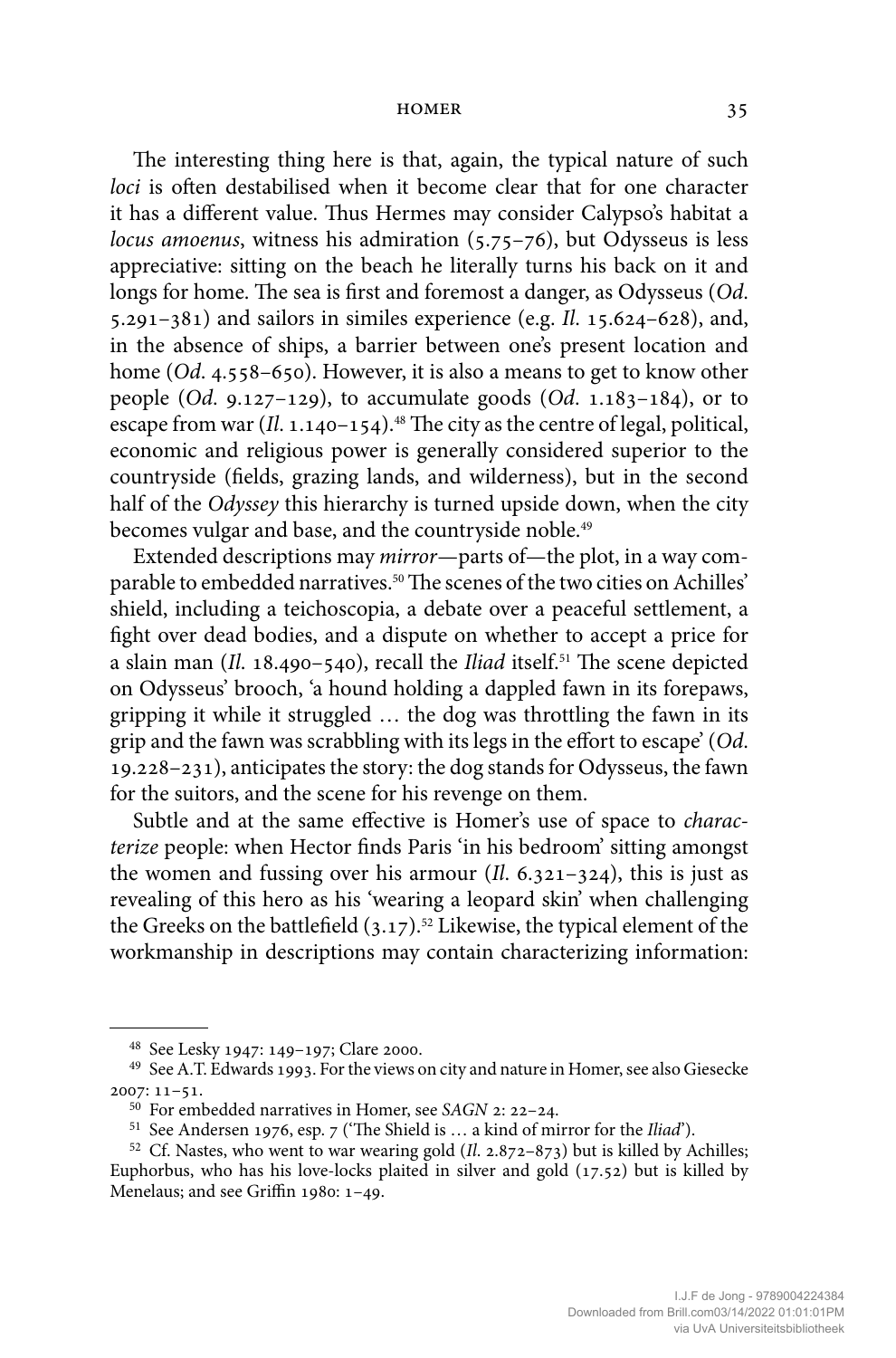The interesting thing here is that, again, the typical nature of such loci is often destabilised when it become clear that for one character it has a different value. Thus Hermes may consider Calypso's habitat a locus amoenus, witness his admiration  $(5.75-76)$ , but Odysseus is less appreciative: sitting on the beach he literally turns his back on it and longs for home. The sea is first and foremost a danger, as Odysseus (Od. 5.291-381) and sailors in similes experience (e.g.  $I\ell$ , 15.624-628), and, in the absence of ships, a barrier between one's present location and home (Od. 4.558–650). However, it is also a means to get to know other people  $(Od. 9.127-129)$ , to accumulate goods  $(Od. 1.183-184)$ , or to escape from war (Il.  $1.140-154$ ).<sup>48</sup> The city as the centre of legal, political, economic and religious power is generally considered superior to the countryside (fields, grazing lands, and wilderness), but in the second half of the Odyssey this hierarchy is turned upside down, when the city becomes vulgar and base, and the countryside noble.<sup>49</sup>

Extended descriptions may mirror—parts of—the plot, in a way comparable to embedded narratives.<sup>50</sup> The scenes of the two cities on Achilles' shield, including a teichoscopia, a debate over a peaceful settlement, a fight over dead bodies, and a dispute on whether to accept a price for a slain man (Il. 18.490-540), recall the Iliad itself.<sup>51</sup> The scene depicted on Odysseus' brooch, 'a hound holding a dappled fawn in its forepaws, gripping it while it struggled … the dog was throttling the fawn in its grip and the fawn was scrabbling with its legs in the effort to escape'  $(Od.$ .–), anticipates the story: the dog stands for Odysseus, the fawn for the suitors, and the scene for his revenge on them.

Subtle and at the same effective is Homer's use of space to *charac*terize people: when Hector finds Paris 'in his bedroom' sitting amongst the women and fussing over his armour  $(II. 6.321 - 324)$ , this is just as revealing of this hero as his 'wearing a leopard skin' when challenging the Greeks on the battlefield  $(3.17)^{52}$  Likewise, the typical element of the workmanship in descriptions may contain characterizing information:

<sup>48</sup> See Lesky 1947: 149-197; Clare 2000.

<sup>&</sup>lt;sup>49</sup> See A.T. Edwards 1993. For the views on city and nature in Homer, see also Giesecke  $2007: 11 - 51.$ 

 $50$  For embedded narratives in Homer, see SAGN 2: 22-24.

<sup>&</sup>lt;sup>51</sup> See Andersen 1976, esp. 7 ('The Shield is ... a kind of mirror for the *Iliad*').

 $52$  Cf. Nastes, who went to war wearing gold (Il. 2.872-873) but is killed by Achilles; Euphorbus, who has his love-locks plaited in silver and gold  $(17.52)$  but is killed by Menelaus; and see Griffin 1980: 1-49.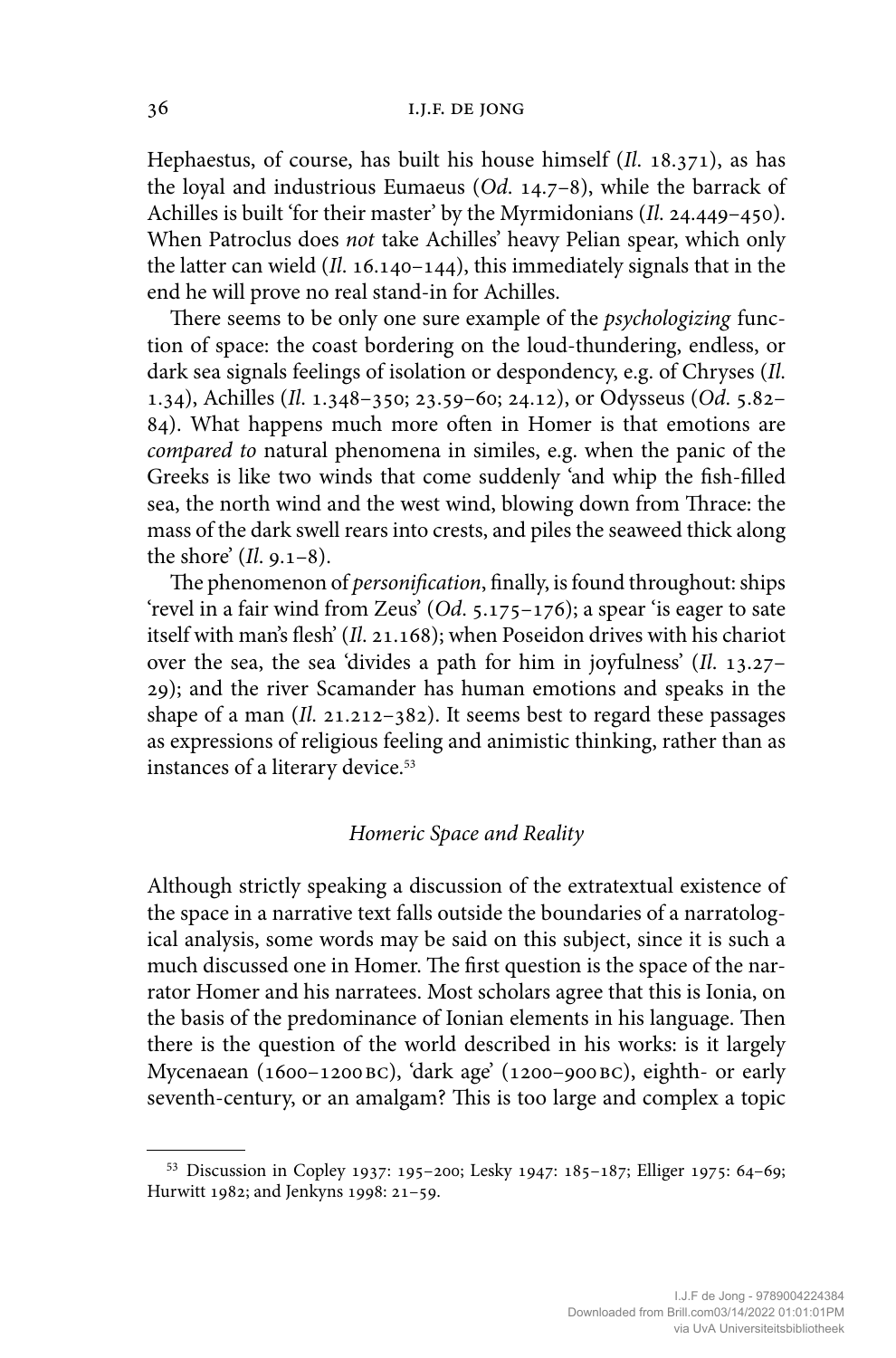Hephaestus, of course, has built his house himself  $(Il. 18.371)$ , as has the loyal and industrious Eumaeus (Od.  $14.7-8$ ), while the barrack of Achilles is built 'for their master' by the Myrmidonians  $(Il. 24.449-450).$ When Patroclus does not take Achilles' heavy Pelian spear, which only the latter can wield  $(Il. 16.140-144)$ , this immediately signals that in the end he will prove no real stand-in for Achilles.

There seems to be only one sure example of the *psychologizing* function of space: the coast bordering on the loud-thundering, endless, or dark sea signals feelings of isolation or despondency, e.g. of Chryses (Il. 1.34), Achilles (Il. 1.348-350; 23.59-60; 24.12), or Odysseus (Od. 5.82-84). What happens much more often in Homer is that emotions are compared to natural phenomena in similes, e.g. when the panic of the Greeks is like two winds that come suddenly 'and whip the fish-filled sea, the north wind and the west wind, blowing down from Thrace: the mass of the dark swell rears into crests, and piles the seaweed thick along the shore'  $(Il. 9.1-8).$ 

The phenomenon of *personification*, finally, is found throughout: ships 'revel in a fair wind from Zeus' ( $Od.$  5.175-176); a spear 'is eager to sate itself with man's flesh' (Il. 21.168); when Poseidon drives with his chariot over the sea, the sea 'divides a path for him in joyfulness'  $(II. 13.27 -$ ); and the river Scamander has human emotions and speaks in the shape of a man  $(I. 21.212 - 382)$ . It seems best to regard these passages as expressions of religious feeling and animistic thinking, rather than as instances of a literary device.<sup>53</sup>

### Homeric Space and Reality

Although strictly speaking a discussion of the extratextual existence of the space in a narrative text falls outside the boundaries of a narratological analysis, some words may be said on this subject, since it is such a much discussed one in Homer. The first question is the space of the narrator Homer and his narratees. Most scholars agree that this is Ionia, on the basis of the predominance of Ionian elements in his language. Then there is the question of the world described in his works: is it largely Mycenaean (1600-1200BC), 'dark age' (1200-900BC), eighth- or early seventh-century, or an amalgam? This is too large and complex a topic

<sup>53</sup> Discussion in Copley 1937: 195-200; Lesky 1947: 185-187; Elliger 1975: 64-69; Hurwitt 1982; and Jenkyns 1998: 21-59.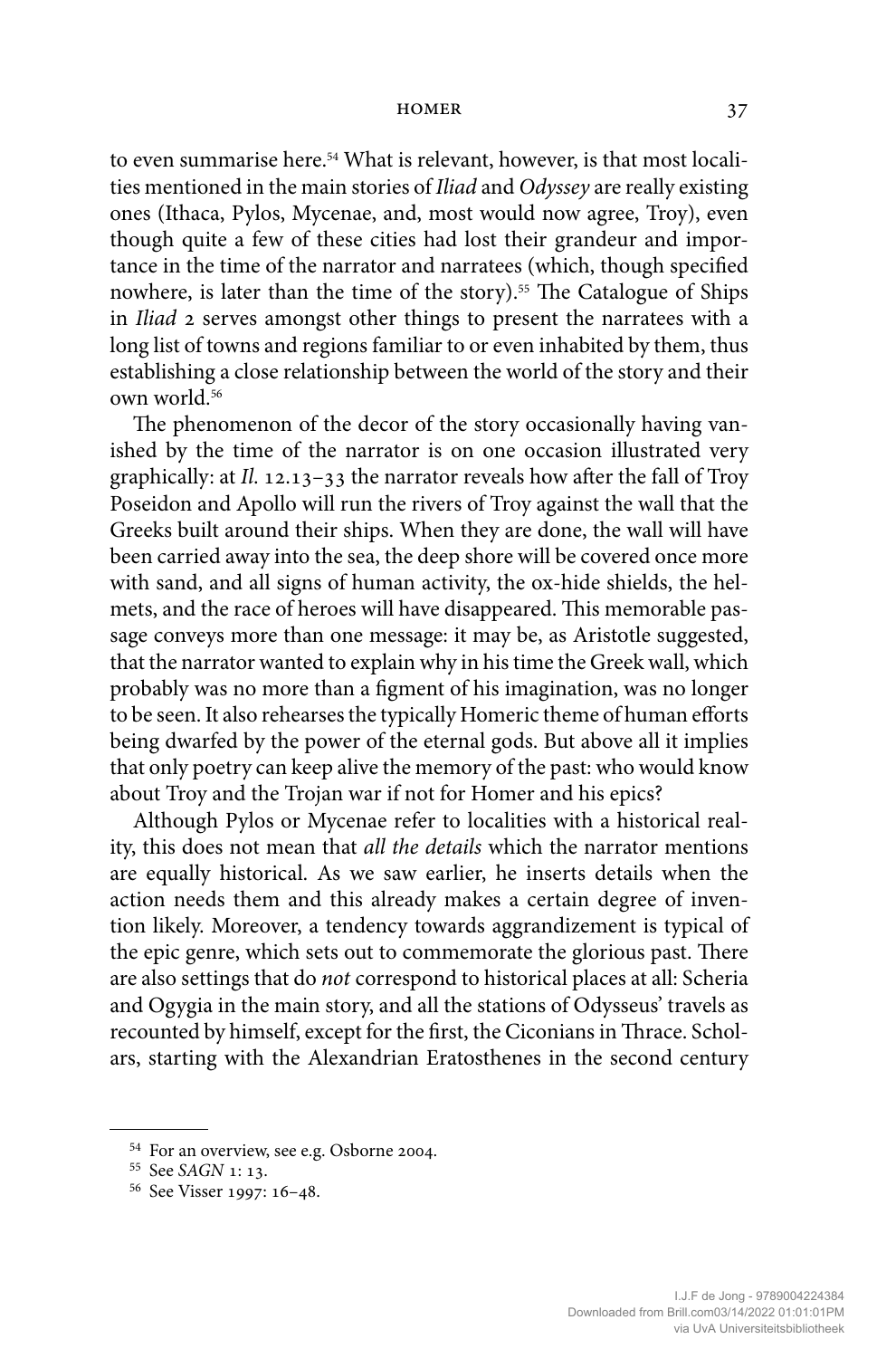to even summarise here.<sup>54</sup> What is relevant, however, is that most localities mentioned in the main stories of *Iliad* and *Odyssey* are really existing ones (Ithaca, Pylos, Mycenae, and, most would now agree, Troy), even though quite a few of these cities had lost their grandeur and importance in the time of the narrator and narratees (which, though specified nowhere, is later than the time of the story).<sup>55</sup> The Catalogue of Ships in Iliad 2 serves amongst other things to present the narratees with a long list of towns and regions familiar to or even inhabited by them, thus establishing a close relationship between the world of the story and their own world.<sup>56</sup>

The phenomenon of the decor of the story occasionally having vanished by the time of the narrator is on one occasion illustrated very graphically: at  $Il.$  12.13-33 the narrator reveals how after the fall of Troy Poseidon and Apollo will run the rivers of Troy against the wall that the Greeks built around their ships. When they are done, the wall will have been carried away into the sea, the deep shore will be covered once more with sand, and all signs of human activity, the ox-hide shields, the helmets, and the race of heroes will have disappeared. This memorable passage conveys more than one message: it may be, as Aristotle suggested, that the narrator wanted to explain why in his time the Greek wall, which probably was no more than a figment of his imagination, was no longer to be seen. It also rehearses the typically Homeric theme of human efforts being dwarfed by the power of the eternal gods. But above all it implies that only poetry can keep alive the memory of the past: who would know about Troy and the Trojan war if not for Homer and his epics?

Although Pylos or Mycenae refer to localities with a historical reality, this does not mean that all the details which the narrator mentions are equally historical. As we saw earlier, he inserts details when the action needs them and this already makes a certain degree of invention likely. Moreover, a tendency towards aggrandizement is typical of the epic genre, which sets out to commemorate the glorious past. There are also settings that do not correspond to historical places at all: Scheria and Ogygia in the main story, and all the stations of Odysseus' travels as recounted by himself, except for the first, the Ciconians in Thrace. Scholars, starting with the Alexandrian Eratosthenes in the second century

<sup>&</sup>lt;sup>54</sup> For an overview, see e.g. Osborne 2004.

<sup>&</sup>lt;sup>55</sup> See SAGN 1: 13.

<sup>56</sup> See Visser 1997: 16-48.